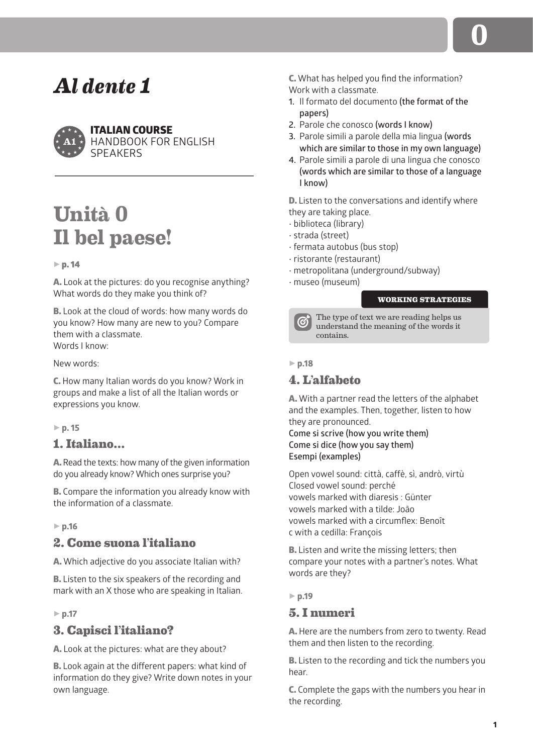

## ITALIAN COURSE HANDBOOK FOR ENGLISH **SPEAKERS**

# **Unità 0 Il bel paese!**

## $\triangleright$  p. 14

A. Look at the pictures: do you recognise anything? What words do they make you think of?

B. Look at the cloud of words: how many words do you know? How many are new to you? Compare them with a classmate. Words I know:

New words:

C. How many Italian words do you know? Work in groups and make a list of all the Italian words or expressions you know.

5 **p. 15**

# **1. Italiano…**

A. Read the texts: how many of the given information do you already know? Which ones surprise you?

B. Compare the information you already know with the information of a classmate.

5 **p.16**

# **2. Come suona l'italiano**

A. Which adjective do you associate Italian with?

**B.** Listen to the six speakers of the recording and mark with an X those who are speaking in Italian.

## 5 **p.17**

# **3. Capisci l'italiano?**

A. Look at the pictures: what are they about?

B. Look again at the different papers: what kind of information do they give? Write down notes in your own language.

C. What has helped you find the information? Work with a classmate.

- **1.** Il formato del documento **(the format of the papers)**
- **2.** Parole che conosco **(words I know)**
- **3.** Parole simili a parole della mia lingua **(words which are similar to those in my own language)**
- **4.** Parole simili a parole di una lingua che conosco **(words which are similar to those of a language I know)**

D. Listen to the conversations and identify where they are taking place.

- biblioteca (library)
- strada (street)
- fermata autobus (bus stop)
- ristorante (restaurant)
- metropolitana (underground/subway)
- museo (museum)

## **WORKING STRATEGIES**



The type of text we are reading helps us understand the meaning of the words it contains.

5 **p.18**

# **4. L'alfabeto**

A. With a partner read the letters of the alphabet and the examples. Then, together, listen to how they are pronounced.

**Come si scrive (how you write them) Come si dice (how you say them) Esempi (examples)**

Open vowel sound: città, caffè, sì, andrò, virtù Closed vowel sound: perché vowels marked with diaresis : Günter vowels marked with a tilde: João vowels marked with a circumflex: Benoît c with a cedilla: François

**B.** Listen and write the missing letters; then compare your notes with a partner's notes. What words are they?

5 **p.19**

# **5. I numeri**

A. Here are the numbers from zero to twenty. Read them and then listen to the recording.

**B.** Listen to the recording and tick the numbers you hear.

C. Complete the gaps with the numbers you hear in the recording.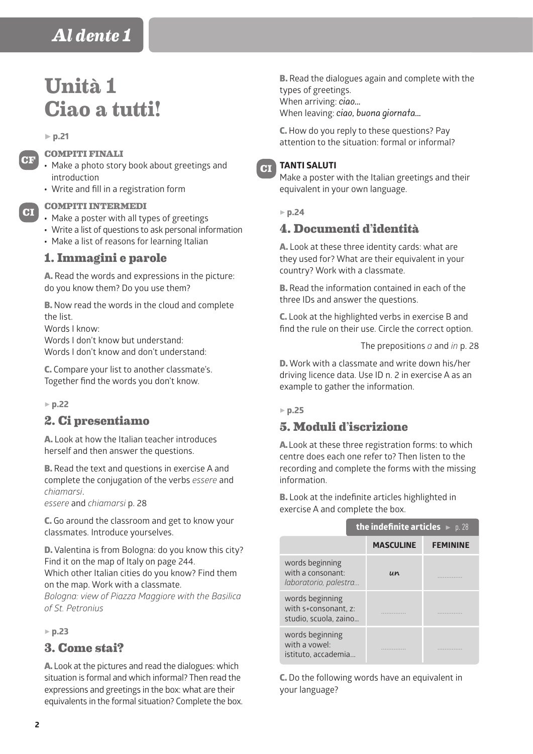# **Unità 1 Ciao a tutti!**

#### 5 **p.21**

**CF**

**CI**

## **COMPITI FINALI**

- Make a photo story book about greetings and introduction
- Write and fill in a registration form

## **COMPITI INTERMEDI**

- Make a poster with all types of greetings
- Write a list of questions to ask personal information
- Make a list of reasons for learning Italian

## **1. Immagini e parole**

A. Read the words and expressions in the picture: do you know them? Do you use them?

B. Now read the words in the cloud and complete the list.

Words I know:

Words I don't know but understand: Words I don't know and don't understand:

C. Compare your list to another classmate's. Together find the words you don't know.

#### 5 **p.22**

## **2. Ci presentiamo**

A. Look at how the Italian teacher introduces herself and then answer the questions.

B. Read the text and questions in exercise A and complete the conjugation of the verbs *essere* and *chiamarsi*.

*essere* and *chiamarsi* p. 28

C. Go around the classroom and get to know your classmates. Introduce yourselves.

D. Valentina is from Bologna: do you know this city? Find it on the map of Italy on page 244.

Which other Italian cities do you know? Find them on the map. Work with a classmate.

*Bologna: view of Piazza Maggiore with the Basilica of St. Petronius*

#### 5 **p.23**

## **3. Come stai?**

A. Look at the pictures and read the dialogues: which situation is formal and which informal? Then read the expressions and greetings in the box: what are their equivalents in the formal situation? Complete the box.

**B.** Read the dialogues again and complete with the types of greetings. When arriving: ciao... When leaving: ciao, buona giornata...

C. How do you reply to these questions? Pay attention to the situation: formal or informal?

### **TANTI SALUTI**

Make a poster with the Italian greetings and their equivalent in your own language.

#### 5 **p.24**

**CI**

# **4. Documenti d'identità**

A. Look at these three identity cards: what are they used for? What are their equivalent in your country? Work with a classmate.

B. Read the information contained in each of the three IDs and answer the questions.

C. Look at the highlighted verbs in exercise B and find the rule on their use. Circle the correct option.

The prepositions *a* and *in* p. 28

D. Work with a classmate and write down his/her driving licence data. Use ID n. 2 in exercise A as an example to gather the information.

## 5 **p.25**

## **5. Moduli d'iscrizione**

A. Look at these three registration forms: to which centre does each one refer to? Then listen to the recording and complete the forms with the missing information.

B. Look at the indefinite articles highlighted in exercise A and complete the box.

|                                                                  | <b>the indefinite articles</b> $\blacktriangleright$ p. 28 |                 |  |
|------------------------------------------------------------------|------------------------------------------------------------|-----------------|--|
|                                                                  | <b>MASCULINE</b>                                           | <b>FEMININE</b> |  |
| words beginning<br>with a consonant:<br>laboratorio, palestra    | un                                                         |                 |  |
| words beginning<br>with s+consonant. z:<br>studio. scuola. zaino |                                                            |                 |  |
| words beginning<br>with a vowel<br>istituto, accademia           |                                                            |                 |  |

C. Do the following words have an equivalent in your language?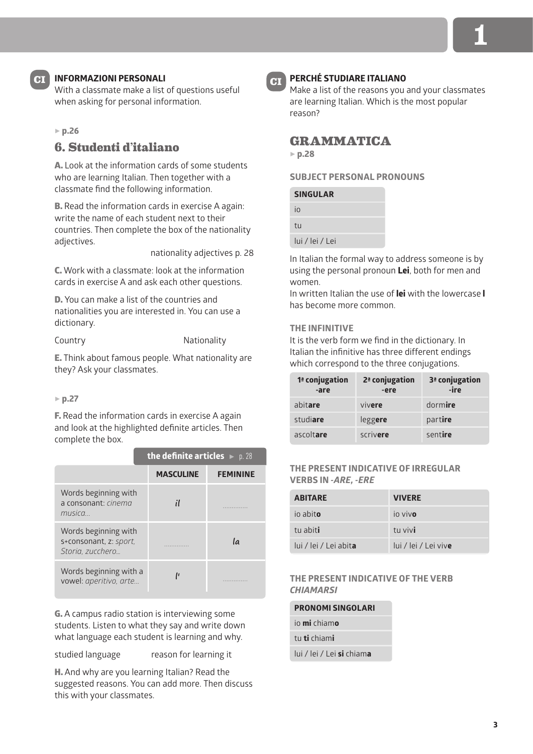

# **INFORMAZIONI PERSONALI CI CI**

With a classmate make a list of questions useful when asking for personal information.

#### 5 **p.26**

# **6. Studenti d'italiano**

A. Look at the information cards of some students who are learning Italian. Then together with a classmate find the following information.

**B.** Read the information cards in exercise A again: write the name of each student next to their countries. Then complete the box of the nationality adjectives.

nationality adjectives p. 28

C. Work with a classmate: look at the information cards in exercise A and ask each other questions.

D. You can make a list of the countries and nationalities you are interested in. You can use a dictionary.

Country **Nationality** 

E. Think about famous people. What nationality are they? Ask your classmates.

#### 5 **p.27**

F. Read the information cards in exercise A again and look at the highlighted definite articles. Then complete the box.

|                                                                    | the definite articles $\blacktriangleright$ p. 28 |                 |  |
|--------------------------------------------------------------------|---------------------------------------------------|-----------------|--|
|                                                                    | <b>MASCULINE</b>                                  | <b>FEMININE</b> |  |
| Words beginning with<br>a consonant: cinema<br>musica              |                                                   |                 |  |
| Words beginning with<br>s+consonant, z: sport,<br>Storia. zucchero |                                                   | la              |  |
| Words beginning with a<br>vowel: aperitivo, arte                   |                                                   |                 |  |

G. A campus radio station is interviewing some students. Listen to what they say and write down what language each student is learning and why.

studied language reason for learning it

H. And why are you learning Italian? Read the suggested reasons. You can add more. Then discuss this with your classmates.



## **PERCHÉ STUDIARE ITALIANO**

Make a list of the reasons you and your classmates are learning Italian. Which is the most popular reason?

## **GRAMMATICA**

5 **p.28**

## **SUBJECT PERSONAL PRONOUNS**

| <b>SINGULAR</b> |  |
|-----------------|--|
| İΩ              |  |
| tu              |  |
| lui / lei / Lei |  |
|                 |  |

In Italian the formal way to address someone is by using the personal pronoun **Lei**, both for men and women.

In written Italian the use of **lei** with the lowercase **l** has become more common.

#### **THE INFINITIVE**

It is the verb form we find in the dictionary. In Italian the infinitive has three different endings which correspond to the three conjugations.

| 1 <sup>ª</sup> conjugation<br>-are | 2 <sup>ª</sup> conjugation<br>-ere | 3 <sup>ª</sup> conjugation<br>-ire |
|------------------------------------|------------------------------------|------------------------------------|
| abitare                            | vivere                             | dormire                            |
| studiare                           | leggere                            | partire                            |
| ascoltare                          | scrivere                           | sentire                            |

#### **THE PRESENT INDICATIVE OF IRREGULAR VERBS IN** *-ARE, -ERE*

| <b>ABITARE</b>                | <b>VIVERE</b>                |
|-------------------------------|------------------------------|
| io abito                      | io vivo                      |
| tu abiti                      | tu vivi                      |
| lui / lei / Lei abit <b>a</b> | lui / lei / Lei viv <b>e</b> |

## **THE PRESENT INDICATIVE OF THE VERB**  *CHIAMARSI*

| <b>PRONOMI SINGOLARI</b>                 |  |  |
|------------------------------------------|--|--|
| io <b>mi</b> chiam <b>o</b>              |  |  |
| tu <b>ti</b> chiami                      |  |  |
| lui / lei / Lei <b>si</b> chiam <b>a</b> |  |  |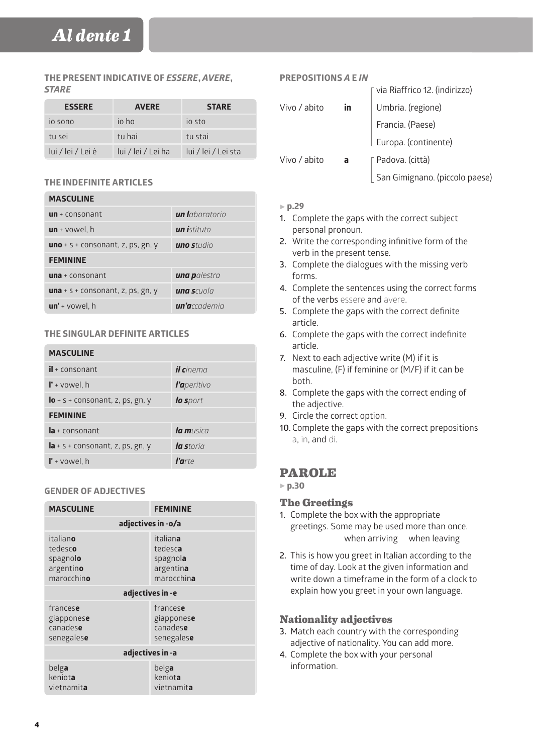## **THE PRESENT INDICATIVE OF** *ESSERE***,** *AVERE***,**  *STARE*

| <b>ESSERE</b>     | <b>AVERE</b>       | <b>STARE</b>        |
|-------------------|--------------------|---------------------|
| io sono           | io ho              | io sto              |
| tu sei            | tu hai             | tu stai             |
| lui / lei / Lei è | lui / lei / Lei ha | lui / lei / Lei sta |

## **THE INDEFINITE ARTICLES**

**MASCULINE** 

| MASCULINE                                |                        |
|------------------------------------------|------------------------|
| $un + constant$                          | <b>un l</b> aboratorio |
| $un +$ vowel, h                          | <b>un i</b> stituto    |
| <b>uno</b> + s + consonant, z, ps, gn, y | <b>uno s</b> tudio     |
| <b>FEMININE</b>                          |                        |
| $una + consonant$                        | una palestra           |
| <b>una</b> + s + consonant, z, ps, gn, y | una scuola             |
| $un'$ + vowel, h                         | un'accademia           |

## **THE SINGULAR DEFINITE ARTICLES**

| <b>MASCULINE</b>                   |                   |
|------------------------------------|-------------------|
| $il$ + consonant                   | <b>il c</b> inema |
| $\mathbf{l}'$ + vowel, h           | l'aperitivo       |
| $Io + s + constant$ , z, ps, gn, y | lo sport          |
| <b>FEMININE</b>                    |                   |
| $Ia + consonant$                   | $\ln m$ usica     |
| $Ia + s + constant$ , z, ps, gn, y | la storia         |
| $\mathbf{r}$ + vowel, h            | $l'$ arte         |

#### **GENDER OF ADJECTIVES**

| <b>MASCULINE</b>                                           | <b>FEMININE</b>                                            |  |
|------------------------------------------------------------|------------------------------------------------------------|--|
|                                                            | adjectives in -o/a                                         |  |
| italiano<br>tedesco<br>spagnolo<br>argentino<br>marocchino | italiana<br>tedesca<br>spagnola<br>argentina<br>marocchina |  |
|                                                            | adjectives in -e                                           |  |
| francese<br>giapponese<br>canadese<br>senegalese           | francese<br>giapponese<br>canadese<br>senegalese           |  |
| adjectives in -a                                           |                                                            |  |
| belga<br>keniota<br>vietnamita                             | belga<br>keniota<br>vietnamita                             |  |

## **PREPOSITIONS** *A* **E** *IN*

|              |    | ⊺ via Riaffrico 12. (indirizzo) |
|--------------|----|---------------------------------|
| Vivo / abito | in | Umbria. (regione)               |
|              |    | Francia. (Paese)                |
|              |    | Europa. (continente)            |
| Vivo / abito | a  | ∏ Padova. (città)               |
|              |    | San Gimignano. (piccolo paese)  |

### 5 **p.29**

- **1.** Complete the gaps with the correct subject personal pronoun.
- **2.** Write the corresponding infinitive form of the verb in the present tense.
- **3.** Complete the dialogues with the missing verb forms.
- **4.** Complete the sentences using the correct forms of the verbs essere and avere.
- **5.** Complete the gaps with the correct definite article.
- **6.** Complete the gaps with the correct indefinite article.
- **7.** Next to each adjective write (M) if it is masculine, (F) if feminine or (M/F) if it can be both.
- **8.** Complete the gaps with the correct ending of the adjective.
- **9.** Circle the correct option.
- **10.** Complete the gaps with the correct prepositions a, in, and di.

# **PAROLE**

5 **p.30**

## **The Greetings**

- **1.** Complete the box with the appropriate greetings. Some may be used more than once. when arriving when leaving
- **2.** This is how you greet in Italian according to the time of day. Look at the given information and write down a timeframe in the form of a clock to explain how you greet in your own language.

## **Nationality adjectives**

- **3.** Match each country with the corresponding adjective of nationality. You can add more.
- **4.** Complete the box with your personal information.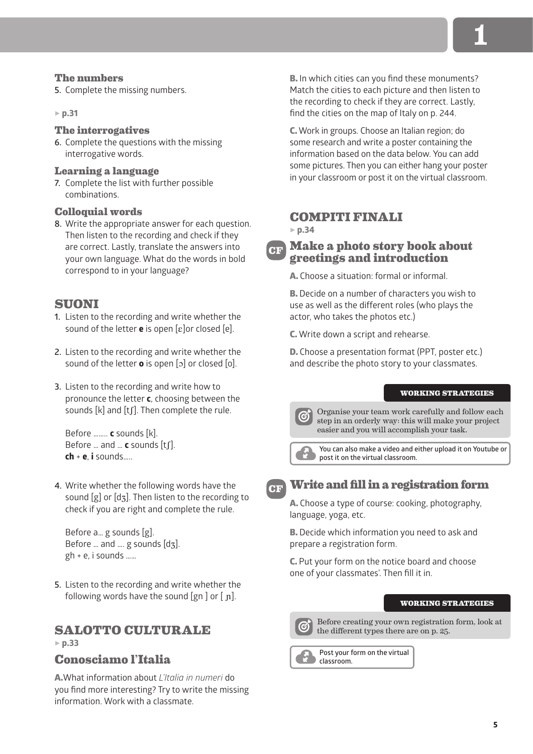## **The numbers**

**5.** Complete the missing numbers.

5 **p.31**

## **The interrogatives**

**6.** Complete the questions with the missing interrogative words.

## **Learning a language**

**7.** Complete the list with further possible combinations.

## **Colloquial words**

**8.** Write the appropriate answer for each question. Then listen to the recording and check if they are correct. Lastly, translate the answers into your own language. What do the words in bold correspond to in your language?

# **SUONI**

- **1.** Listen to the recording and write whether the sound of the letter **e** is open [ɛ]or closed [e].
- **2.** Listen to the recording and write whether the sound of the letter **o** is open [ɔ] or closed [o].
- **3.** Listen to the recording and write how to pronounce the letter **c**, choosing between the sounds [k] and [tʃ]. Then complete the rule.

Before …….. **c** sounds [k]. Before … and … **c** sounds [tʃ]. **ch** + **e**, **i** sounds…..

**4.** Write whether the following words have the sound  $[g]$  or  $[d_3]$ . Then listen to the recording to check if you are right and complete the rule.

Before a… g sounds [g]. Before … and …. g sounds [dʒ]. gh + e, i sounds ……

**5.** Listen to the recording and write whether the following words have the sound  $[gn]$  or  $[nl]$ .

# **SALOTTO CULTURALE**

## 5 **p.33**

## **Conosciamo l'Italia**

A.What information about *L'Italia in numeri* do you find more interesting? Try to write the missing information. Work with a classmate.

B. In which cities can you find these monuments? Match the cities to each picture and then listen to the recording to check if they are correct. Lastly, find the cities on the map of Italy on p. 244.

C. Work in groups. Choose an Italian region; do some research and write a poster containing the information based on the data below. You can add some pictures. Then you can either hang your poster in your classroom or post it on the virtual classroom.

# **COMPITI FINALI**

5 **p.34**

#### **Make a photo story book about greetings and introduction CF**

A. Choose a situation: formal or informal.

B. Decide on a number of characters you wish to use as well as the different roles (who plays the actor, who takes the photos etc.)

C. Write down a script and rehearse.

D. Choose a presentation format (PPT, poster etc.) and describe the photo story to your classmates.

#### **WORKING STRATEGIES**

Organise your team work carefully and follow each step in an orderly way: this will make your project easier and you will accomplish your task.



**You can also make a video and either upload it on Youtube or post it on the virtual classroom.**

# **CF**

# **Write and fill in a registration form**

A. Choose a type of course: cooking, photography, language, yoga, etc.

B. Decide which information you need to ask and prepare a registration form.

C. Put your form on the notice board and choose one of your classmates'. Then fill it in.

#### **WORKING STRATEGIES**



Before creating your own registration form, look at the different types there are on p. 25.

**Post your form on the virtual classroom.**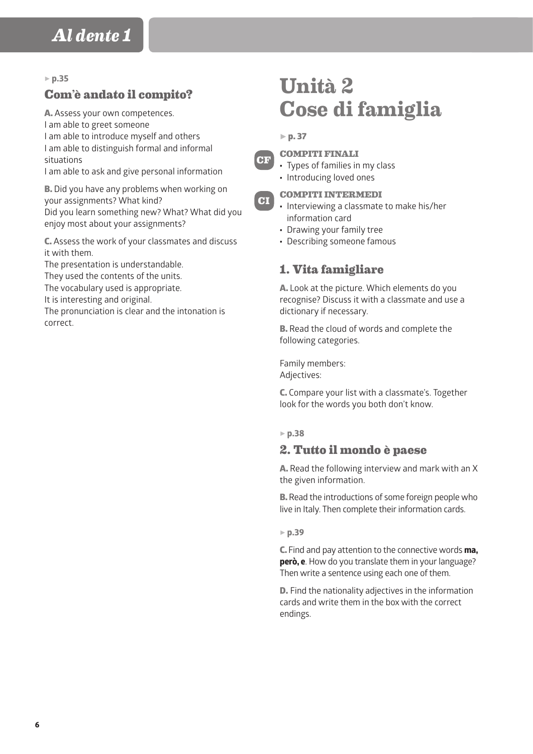### 5 **p.35**

# **Com'è andato il compito?**

A. Assess your own competences. I am able to greet someone I am able to introduce myself and others I am able to distinguish formal and informal situations

I am able to ask and give personal information

**B.** Did you have any problems when working on your assignments? What kind? Did you learn something new? What? What did you enjoy most about your assignments?

C. Assess the work of your classmates and discuss it with them.

The presentation is understandable.

They used the contents of the units.

The vocabulary used is appropriate.

It is interesting and original.

The pronunciation is clear and the intonation is correct.

# **Unità 2 Cose di famiglia**

 $\triangleright$  p. 37



**CI**

**COMPITI FINALI**

- Types of families in my class
- Introducing loved ones

## **COMPITI INTERMEDI**

- Interviewing a classmate to make his/her information card
- Drawing your family tree
- Describing someone famous

# **1. Vita famigliare**

A. Look at the picture. Which elements do you recognise? Discuss it with a classmate and use a dictionary if necessary.

**B.** Read the cloud of words and complete the following categories.

Family members: Adjectives:

C. Compare your list with a classmate's. Together look for the words you both don't know.

#### 5 **p.38**

# **2. Tutto il mondo è paese**

A. Read the following interview and mark with an X the given information.

**B.** Read the introductions of some foreign people who live in Italy. Then complete their information cards.

#### 5 **p.39**

C. Find and pay attention to the connective words **ma, però, e**. How do you translate them in your language? Then write a sentence using each one of them.

D. Find the nationality adjectives in the information cards and write them in the box with the correct endings.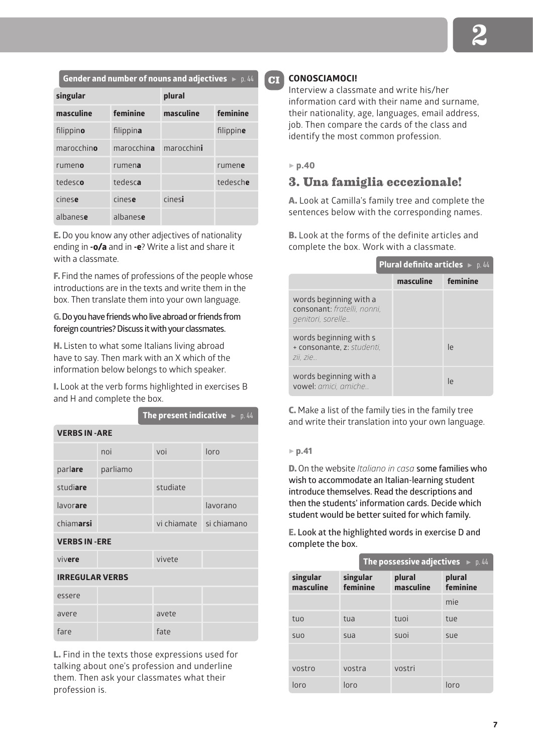**Gender and number of nouns and adjectives**  $\bullet$  p. 44

| singular   |            | plural     |           |
|------------|------------|------------|-----------|
| masculine  | feminine   | masculine  | feminine  |
| filippino  | filippina  |            | filippine |
| marocchino | marocchina | marocchini |           |
| rumeno     | rumena     |            | rumene    |
| tedesco    | tedesca    |            | tedesche  |
| cinese     | cinese     | cinesi     |           |
| albanese   | albanese   |            |           |

E. Do you know any other adjectives of nationality ending in **-o/a** and in **-e**? Write a list and share it with a classmate.

F. Find the names of professions of the people whose introductions are in the texts and write them in the box. Then translate them into your own language.

## **G. Do you have friends who live abroad or friends from foreign countries? Discuss it with your classmates.**

H. Listen to what some Italians living abroad have to say. Then mark with an X which of the information below belongs to which speaker.

I. Look at the verb forms highlighted in exercises B and H and complete the box.

|                        |          |  |                         | <b>The present indicative</b> $\blacktriangleright$ p. 44 |
|------------------------|----------|--|-------------------------|-----------------------------------------------------------|
| <b>VERBS IN -ARE</b>   |          |  |                         |                                                           |
|                        | noi      |  | voi                     | loro                                                      |
| parlare                | parliamo |  |                         |                                                           |
| studiare               |          |  | studiate                |                                                           |
| lavorare               |          |  |                         | lavorano                                                  |
| chiamarsi              |          |  | vi chiamate si chiamano |                                                           |
| <b>VERBS IN -ERE</b>   |          |  |                         |                                                           |
| vivere                 |          |  | vivete                  |                                                           |
| <b>IRREGULAR VERBS</b> |          |  |                         |                                                           |
| essere                 |          |  |                         |                                                           |
| avere                  |          |  | avete                   |                                                           |
| fare                   |          |  | fate                    |                                                           |

L. Find in the texts those expressions used for talking about one's profession and underline them. Then ask your classmates what their profession is.

## **CONOSCIAMOCI!**

Interview a classmate and write his/her information card with their name and surname, their nationality, age, languages, email address, job. Then compare the cards of the class and identify the most common profession.

#### 5 **p.40**

**CI**

# **3. Una famiglia eccezionale!**

A. Look at Camilla's family tree and complete the sentences below with the corresponding names.

B. Look at the forms of the definite articles and complete the box. Work with a classmate.

|                                                                            | <b>Plural definite articles</b> $\triangleright$ p. 44 |          |
|----------------------------------------------------------------------------|--------------------------------------------------------|----------|
|                                                                            | masculine                                              | feminine |
| words beginning with a<br>consonant: fratelli, nonni.<br>genitori, sorelle |                                                        |          |
| words beginning with s<br>+ consonante, z: studenti,<br>zii. zie           |                                                        | le       |
| words beginning with a<br>vowel: amici, amiche                             |                                                        | Ιe       |

C. Make a list of the family ties in the family tree and write their translation into your own language.

#### 5 **p.41**

D. On the website *Italiano in casa* **some families who wish to accommodate an Italian-learning student introduce themselves. Read the descriptions and then the students' information cards. Decide which student would be better suited for which family.**

E. **Look at the highlighted words in exercise D and complete the box.**

|                       | <b>The possessive adjectives</b> $\blacktriangleright$ p. 44 |                     |                    |
|-----------------------|--------------------------------------------------------------|---------------------|--------------------|
| singular<br>masculine | singular<br>feminine                                         | plural<br>masculine | plural<br>feminine |
|                       |                                                              |                     | mie                |
| tuo                   | tua                                                          | tuoi                | tue                |
| <b>SUO</b>            | sua                                                          | suoi                | sue                |
|                       |                                                              |                     |                    |
| vostro                | vostra                                                       | vostri              |                    |
| loro                  | loro                                                         |                     | loro               |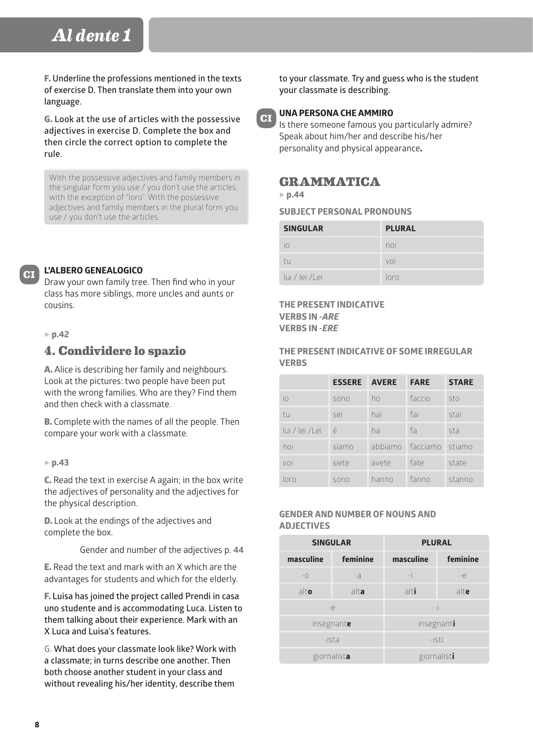F. **Underline the professions mentioned in the texts of exercise D. Then translate them into your own language.**

G. **Look at the use of articles with the possessive adjectives in exercise D. Complete the box and then circle the correct option to complete the rule.**

With the possessive adjectives and family members in the singular form you use / you don't use the articles, with the exception of "loro". With the possessive adjectives and family members in the plural form you use / you don't use the articles.

## **L'ALBERO GENEALOGICO**

Draw your own family tree. Then find who in your class has more siblings, more uncles and aunts or cousins.

#### 5 **p.42**

**CI**

# **4. Condividere lo spazio**

A. Alice is describing her family and neighbours. Look at the pictures: two people have been put with the wrong families. Who are they? Find them and then check with a classmate.

B. Complete with the names of all the people. Then compare your work with a classmate.

#### 5 **p.43**

C. Read the text in exercise A again; in the box write the adjectives of personality and the adjectives for the physical description.

D. Look at the endings of the adjectives and complete the box.

Gender and number of the adjectives p. 44

E. Read the text and mark with an X which are the advantages for students and which for the elderly.

F. **Luisa has joined the project called Prendi in casa uno studente and is accommodating Luca. Listen to them talking about their experience. Mark with an X Luca and Luisa's features.**

**G. What does your classmate look like? Work with a classmate; in turns describe one another. Then both choose another student in your class and without revealing his/her identity, describe them** 

**to your classmate. Try and guess who is the student your classmate is describing.** 



### **UNA PERSONA CHE AMMIRO**

Is there someone famous you particularly admire? Speak about him/her and describe his/her personality and physical appearance**.**

# **GRAMMATICA**

5 **p.44**

**SUBJECT PERSONAL PRONOUNS**

| <b>SINGULAR</b> | <b>PLURAL</b> |
|-----------------|---------------|
| $\overline{10}$ | noi           |
| tu              | voi           |
| lui / lei /Lei  | loro          |

**THE PRESENT INDICATIVE VERBS IN** *-ARE*  **VERBS IN** *-ERE*

**THE PRESENT INDICATIVE OF SOME IRREGULAR VERBS**

|                | <b>ESSERE AVERE</b> |       | <b>FARE</b>      | <b>STARE</b> |
|----------------|---------------------|-------|------------------|--------------|
| io             | sono                | ho    | faccio           | sto          |
| tu             | sei                 | hai   | fai              | stai         |
| lui / lei /Lei | è                   | ha    | fa               | sta          |
| noi            | siamo               |       | abbiamo facciamo | stiamo       |
| voi            | siete               | avete | fate             | state        |
| loro           | sono                | hanno | fanno            | stanno       |

#### **GENDER AND NUMBER OF NOUNS AND ADJECTIVES**

| <b>SINGULAR</b> |          | <b>PLURAL</b> |          |
|-----------------|----------|---------------|----------|
| masculine       | feminine | masculine     | feminine |
| $ \bigcirc$     | -a       | -i            | $-e$     |
| alto            | alta     | alti          | alte     |
| $-e$            |          | $-i$          |          |
| insegnante      |          | insegnanti    |          |
| -ista           |          | -isti         |          |
| giornalista     |          | giornalisti   |          |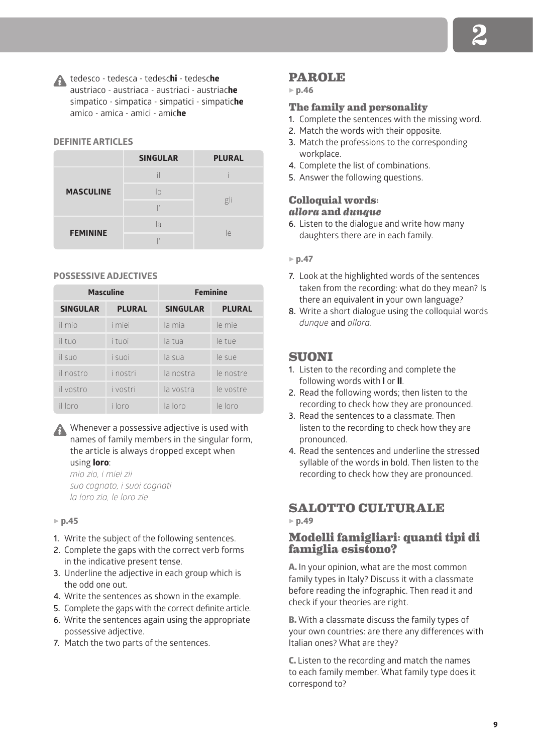tedesco - tedesca - tedesc**hi** - tedesc**he** austriaco - austriaca - austriaci - austriac**he** simpatico - simpatica - simpatici - simpatic**he** amico - amica - amici - amic**he**

#### **DEFINITE ARTICLES**

|                  | <b>SINGULAR</b> | <b>PLURAL</b> |
|------------------|-----------------|---------------|
| <b>MASCULINE</b> |                 |               |
|                  | lo              |               |
|                  | $\overline{1}$  | gli           |
| <b>FEMININE</b>  | la              |               |
|                  | ×               | le            |

#### **POSSESSIVE ADJECTIVES**

| <b>Masculine</b> |               | <b>Feminine</b> |               |
|------------------|---------------|-----------------|---------------|
| <b>SINGULAR</b>  | <b>PLURAL</b> | <b>SINGULAR</b> | <b>PLURAL</b> |
| il mio           | <i>i</i> miei | la mia          | le mie        |
| il tuo           | i tuoi        | la tua          | le tue        |
| il suo           | i suoi        | la sua          | le sue        |
| il nostro        | i nostri      | la nostra       | le nostre     |
| il vostro        | i vostri      | la vostra       | le vostre     |
| il loro          | i loro        | la loro         | le loro       |

## Whenever a possessive adjective is used with names of family members in the singular form, the article is always dropped except when using **loro**:

*mio zio, i miei zii suo cognato, i suoi cognati la loro zia, le loro zie* 

#### 5 **p.45**

- **1.** Write the subject of the following sentences.
- **2.** Complete the gaps with the correct verb forms in the indicative present tense.
- **3.** Underline the adjective in each group which is the odd one out.
- **4.** Write the sentences as shown in the example.
- **5.** Complete the gaps with the correct definite article.
- **6.** Write the sentences again using the appropriate possessive adjective.
- **7.** Match the two parts of the sentences.

## **PAROLE**

#### 5 **p.46**

## **The family and personality**

- **1.** Complete the sentences with the missing word.
- **2.** Match the words with their opposite.
- **3.** Match the professions to the corresponding workplace.
- **4.** Complete the list of combinations.
- **5.** Answer the following questions.

#### **Colloquial words:**  *allora* **and** *dunque*

**6.** Listen to the dialogue and write how many daughters there are in each family.

#### 5 **p.47**

- **7.** Look at the highlighted words of the sentences taken from the recording: what do they mean? Is there an equivalent in your own language?
- **8.** Write a short dialogue using the colloquial words *dunque* and *allora*.

## **SUONI**

- **1.** Listen to the recording and complete the following words with **l** or **ll**.
- **2.** Read the following words; then listen to the recording to check how they are pronounced.
- **3.** Read the sentences to a classmate. Then listen to the recording to check how they are pronounced.
- **4.** Read the sentences and underline the stressed syllable of the words in bold. Then listen to the recording to check how they are pronounced.

## **SALOTTO CULTURALE** 5 **p.49**

## **Modelli famigliari: quanti tipi di famiglia esistono?**

A. In your opinion, what are the most common family types in Italy? Discuss it with a classmate before reading the infographic. Then read it and check if your theories are right.

B. With a classmate discuss the family types of your own countries: are there any differences with Italian ones? What are they?

C. Listen to the recording and match the names to each family member. What family type does it correspond to?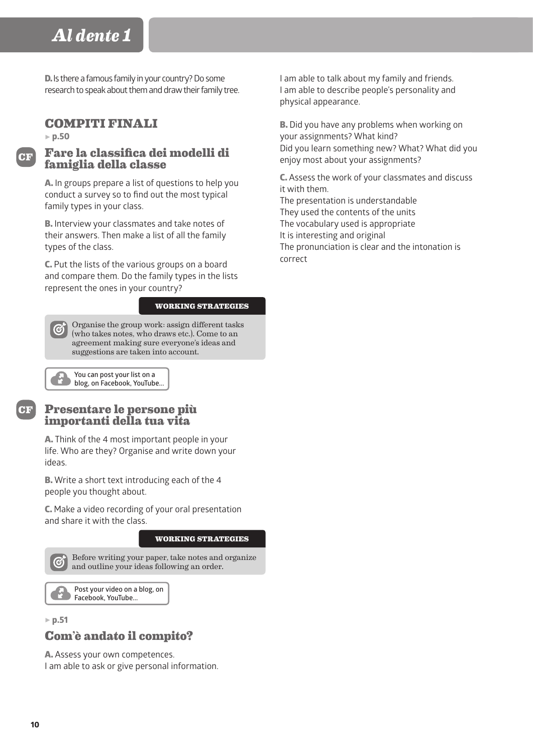D. Is there a famous family in your country? Do some research to speak about them and draw their family tree.

# **COMPITI FINALI**

5 **p.50**

**CF**

## **Fare la classifica dei modelli di famiglia della classe**

A. In groups prepare a list of questions to help you conduct a survey so to find out the most typical family types in your class.

B. Interview your classmates and take notes of their answers. Then make a list of all the family types of the class.

C. Put the lists of the various groups on a board and compare them. Do the family types in the lists represent the ones in your country?

**WORKING STRATEGIES**

Organise the group work: assign different tasks (who takes notes, who draws etc.). Come to an agreement making sure everyone's ideas and suggestions are taken into account.

**You can post your list on a blog, on Facebook, YouTube...**

**CF**

# **Presentare le persone più importanti della tua vita**

A. Think of the 4 most important people in your life. Who are they? Organise and write down your ideas.

B. Write a short text introducing each of the 4 people you thought about.

C. Make a video recording of your oral presentation and share it with the class.

#### **WORKING STRATEGIES**



5 **p.51**

# **Com'è andato il compito?**

A. Assess your own competences. I am able to ask or give personal information. I am able to talk about my family and friends. I am able to describe people's personality and physical appearance.

**B.** Did you have any problems when working on your assignments? What kind? Did you learn something new? What? What did you enjoy most about your assignments?

C. Assess the work of your classmates and discuss it with them.

The presentation is understandable They used the contents of the units The vocabulary used is appropriate It is interesting and original The pronunciation is clear and the intonation is correct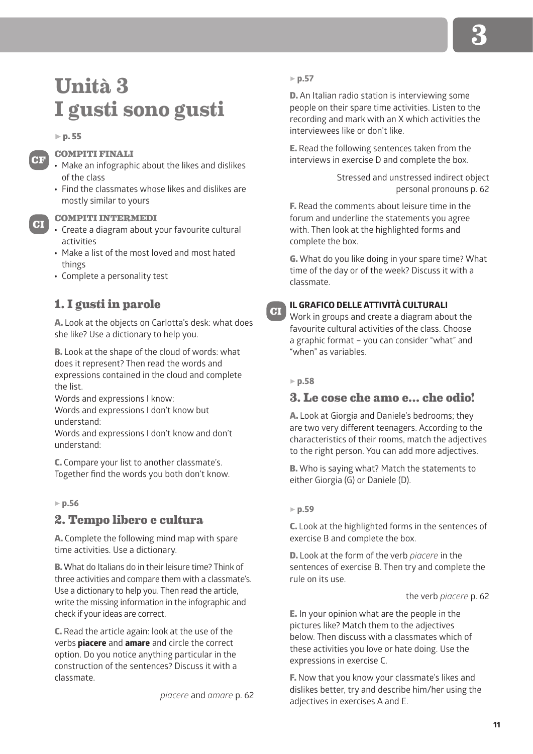# **Unità 3 I gusti sono gusti**

#### $\triangleright$  p. 55

**CF**

**CI**

## **COMPITI FINALI**

- Make an infographic about the likes and dislikes of the class
- Find the classmates whose likes and dislikes are mostly similar to yours

#### **COMPITI INTERMEDI**

- Create a diagram about your favourite cultural activities
- Make a list of the most loved and most hated things
- Complete a personality test

## **1. I gusti in parole**

A. Look at the objects on Carlotta's desk: what does she like? Use a dictionary to help you.

B. Look at the shape of the cloud of words: what does it represent? Then read the words and expressions contained in the cloud and complete the list.

Words and expressions I know:

Words and expressions I don't know but understand:

Words and expressions I don't know and don't understand:

C. Compare your list to another classmate's. Together find the words you both don't know.

#### 5 **p.56**

## **2. Tempo libero e cultura**

A. Complete the following mind map with spare time activities. Use a dictionary.

B. What do Italians do in their leisure time? Think of three activities and compare them with a classmate's. Use a dictionary to help you. Then read the article, write the missing information in the infographic and check if your ideas are correct.

C. Read the article again: look at the use of the verbs **piacere** and **amare** and circle the correct option. Do you notice anything particular in the construction of the sentences? Discuss it with a classmate.

*piacere* and *amare* p. 62

#### 5 **p.57**

D. An Italian radio station is interviewing some people on their spare time activities. Listen to the recording and mark with an X which activities the interviewees like or don't like.

E. Read the following sentences taken from the interviews in exercise D and complete the box.

> Stressed and unstressed indirect object personal pronouns p. 62

F. Read the comments about leisure time in the forum and underline the statements you agree with. Then look at the highlighted forms and complete the box.

G. What do you like doing in your spare time? What time of the day or of the week? Discuss it with a classmate.

# **CI**

#### **IL GRAFICO DELLE ATTIVITÀ CULTURALI**

Work in groups and create a diagram about the favourite cultural activities of the class. Choose a graphic format – you can consider "what" and "when" as variables.

#### 5 **p.58**

## **3. Le cose che amo e… che odio!**

A. Look at Giorgia and Daniele's bedrooms; they are two very different teenagers. According to the characteristics of their rooms, match the adjectives to the right person. You can add more adjectives.

B. Who is saying what? Match the statements to either Giorgia (G) or Daniele (D).

#### 5 **p.59**

C. Look at the highlighted forms in the sentences of exercise B and complete the box.

D. Look at the form of the verb *piacere* in the sentences of exercise B. Then try and complete the rule on its use.

the verb *piacere* p. 62

E. In your opinion what are the people in the pictures like? Match them to the adjectives below. Then discuss with a classmates which of these activities you love or hate doing. Use the expressions in exercise C.

F. Now that you know your classmate's likes and dislikes better, try and describe him/her using the adjectives in exercises A and E.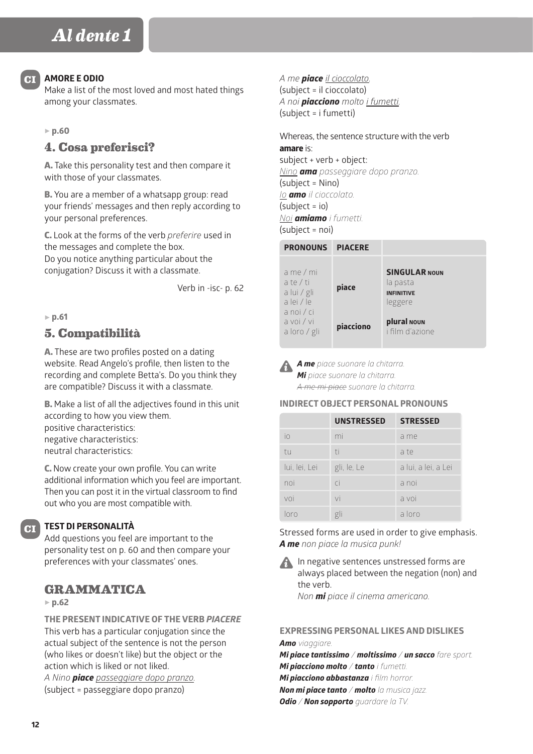#### **AMORE E ODIO**

Make a list of the most loved and most hated things among your classmates.

#### 5 **p.60**

## **4. Cosa preferisci?**

A. Take this personality test and then compare it with those of your classmates.

B. You are a member of a whatsapp group: read your friends' messages and then reply according to your personal preferences.

C. Look at the forms of the verb *preferire* used in the messages and complete the box. Do you notice anything particular about the conjugation? Discuss it with a classmate.

Verb in -isc- p. 62

#### 5 **p.61**

## **5. Compatibilità**

A. These are two profiles posted on a dating website. Read Angelo's profile, then listen to the recording and complete Betta's. Do you think they are compatible? Discuss it with a classmate.

B. Make a list of all the adjectives found in this unit according to how you view them. positive characteristics: negative characteristics: neutral characteristics:

C. Now create your own profile. You can write additional information which you feel are important. Then you can post it in the virtual classroom to find out who you are most compatible with.

## **TEST DI PERSONALITÀ**

Add questions you feel are important to the personality test on p. 60 and then compare your preferences with your classmates' ones.

## **GRAMMATICA**

#### 5 **p.62**

**CI**

**THE PRESENT INDICATIVE OF THE VERB** *PIACERE* This verb has a particular conjugation since the actual subject of the sentence is not the person (who likes or doesn't like) but the object or the action which is liked or not liked.

*A Nino piace passeggiare dopo pranzo.* (subject = passeggiare dopo pranzo)

*A me piace il cioccolato.* (subject = il cioccolato) *A noi piacciono molto i fumetti.* (subject = i fumetti)

Whereas, the sentence structure with the verb **amare** is: subject + verb + object:

*Nino ama passeggiare dopo pranzo.* (subject = Nino) *Io amo il cioccolato.* (subject = io) *Noi amiamo i fumetti.* (subject = noi)

| <b>PRONOUNS</b>                                                     | <b>PIACERE</b> |                                                                  |
|---------------------------------------------------------------------|----------------|------------------------------------------------------------------|
| a me / mi<br>a te / ti<br>a lui / gli<br>a lei / le<br>$a$ noi / ci | piace          | <b>SINGULAR NOUN</b><br>la pasta<br><b>INFINITIVE</b><br>leggere |
| a voi / vi<br>a loro / gli                                          | piacciono      | plural NOUN<br>i film d'azione                                   |

*A me piace suonare la chitarra. Mi piace suonare la chitarra. A me mi piace suonare la chitarra.*

**INDIRECT OBJECT PERSONAL PRONOUNS**

|               | <b>UNSTRESSED</b> | <b>STRESSED</b>     |
|---------------|-------------------|---------------------|
| io            | mi                | a me                |
| tu            | ti                | a te                |
| lui, lei, Lei | gli, le, Le       | a lui, a lei, a Lei |
| noi           | $\overline{C}$    | a noi               |
| voi           | vi                | a voi               |
| nrn           | gli               | a loro              |

Stressed forms are used in order to give emphasis. *A me non piace la musica punk!*

**A** In negative sentences unstressed forms are always placed between the negation (non) and the verb. *Non mi piace il cinema americano.* 

**EXPRESSING PERSONAL LIKES AND DISLIKES** *Amo viaggiare.*

*Mi piace tantissimo / moltissimo / un sacco fare sport. Mi piacciono molto / tanto i fumetti. Mi piacciono abbastanza i film horror. Non mi piace tanto / molto la musica jazz. Odio / Non sopporto guardare la TV.*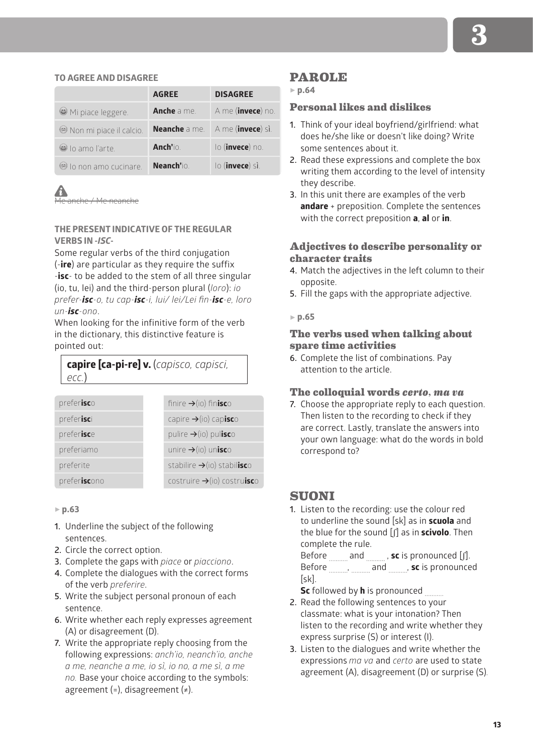#### **TO AGREE AND DISAGREE**

|                         | <b>AGREE</b>         | <b>DISAGREE</b>            |
|-------------------------|----------------------|----------------------------|
| Mi piace leggere.       | <b>Anche</b> a me    | A me (invece) no.          |
| Non mi piace il calcio. | <b>Neanche</b> a me. | A me ( <b>invece</b> ) sì. |
| (a) lo amo l'arte.      | Anch'io.             | lo (invece) no.            |
| O lo non amo cucinare.  | Neanch'io            | lo ( <b>invece</b> ) sì.   |

Me anche / Me neanche

## **THE PRESENT INDICATIVE OF THE REGULAR VERBS IN** *-ISC***-**

Some regular verbs of the third conjugation (-**ire**) are particular as they require the suffix -**isc**- to be added to the stem of all three singular (io, tu, lei) and the third-person plural (*loro*): *io prefer-isc-o, tu cap-isc-i, lui/ lei/Lei fin-isc-e, loro un-isc-ono*.

When looking for the infinitive form of the verb in the dictionary, this distinctive feature is pointed out:

**capire [ca-pi-re] v.** (*capisco, capisci, ecc.*)

| preferisco   | finire $\rightarrow$ (io) finisco       |
|--------------|-----------------------------------------|
| preferisci   | capire $\rightarrow$ (io) capisco       |
| preferisce   | pulire $\rightarrow$ (io) pulisco       |
| preferiamo   | unire $\rightarrow$ (io) unisco         |
| preferite    | stabilire $\rightarrow$ (io) stabilisco |
| preferiscono | $costruire \rightarrow (io) costruisc$  |

5 **p.63**

- **1.** Underline the subject of the following sentences.
- **2.** Circle the correct option.
- **3.** Complete the gaps with *piace* or *piacciono*.
- **4.** Complete the dialogues with the correct forms of the verb *preferire*.
- **5.** Write the subject personal pronoun of each sentence.
- **6.** Write whether each reply expresses agreement (A) or disagreement (D).
- **7.** Write the appropriate reply choosing from the following expressions: *anch'io, neanch'io, anche a me, neanche a me, io sì, io no, a me sì, a me no.* Base your choice according to the symbols: agreement (=), disagreement  $(*)$ .

## **PAROLE**

5 **p.64**

## **Personal likes and dislikes**

- **1.** Think of your ideal boyfriend/girlfriend: what does he/she like or doesn't like doing? Write some sentences about it.
- **2.** Read these expressions and complete the box writing them according to the level of intensity they describe.
- **3.** In this unit there are examples of the verb **andare** + preposition. Complete the sentences with the correct preposition **a**, **al** or **in**.

## **Adjectives to describe personality or character traits**

- **4.** Match the adjectives in the left column to their opposite.
- **5.** Fill the gaps with the appropriate adjective.

5 **p.65**

## **The verbs used when talking about spare time activities**

**6.** Complete the list of combinations. Pay attention to the article.

#### **The colloquial words** *certo***,** *ma va*

**7.** Choose the appropriate reply to each question. Then listen to the recording to check if they are correct. Lastly, translate the answers into your own language: what do the words in bold correspond to?

## **SUONI**

**1.** Listen to the recording: use the colour red to underline the sound [sk] as in **scuola** and the blue for the sound [ʃ] as in **scivolo**. Then complete the rule.

Before <sub>..........</sub> and <sub>..........</sub>, sc is pronounced [ʃ]. Before , and **succes** and **sec** is pronounced [sk].

**Sc** followed by **h** is pronounced

- **2.** Read the following sentences to your classmate: what is your intonation? Then listen to the recording and write whether they express surprise (S) or interest (I).
- **3.** Listen to the dialogues and write whether the expressions *ma va* and *certo* are used to state agreement (A), disagreement (D) or surprise (S)*.*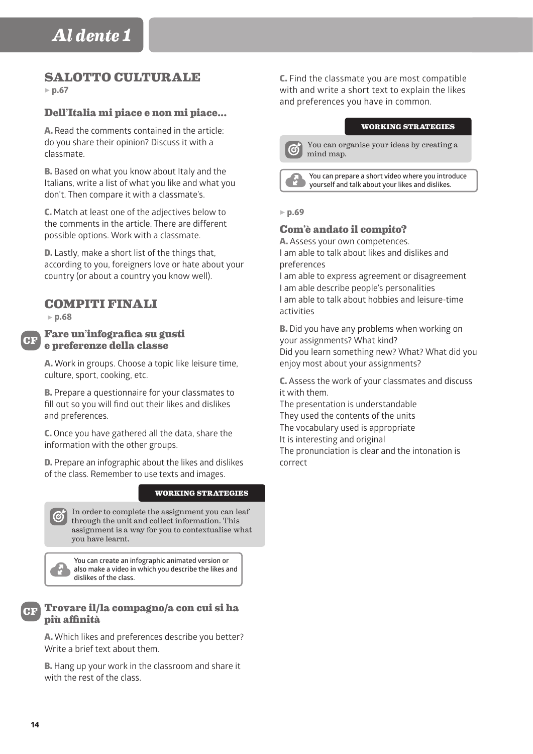# **SALOTTO CULTURALE**

5 **p.67**

## **Dell'Italia mi piace e non mi piace...**

A. Read the comments contained in the article: do you share their opinion? Discuss it with a classmate.

B. Based on what you know about Italy and the Italians, write a list of what you like and what you don't. Then compare it with a classmate's.

C. Match at least one of the adjectives below to the comments in the article. There are different possible options. Work with a classmate.

D. Lastly, make a short list of the things that, according to you, foreigners love or hate about your country (or about a country you know well).

# **COMPITI FINALI**

5 **p.68**

**CF**

## **Fare un'infografica su gusti e preferenze della classe**

A. Work in groups. Choose a topic like leisure time, culture, sport, cooking, etc.

**B.** Prepare a questionnaire for your classmates to fill out so you will find out their likes and dislikes and preferences.

C. Once you have gathered all the data, share the information with the other groups.

D. Prepare an infographic about the likes and dislikes of the class. Remember to use texts and images.

#### **WORKING STRATEGIES**

In order to complete the assignment you can leaf **C** In order to complete the assignment of through the unit and collect information. This assignment is a way for you to contextualise what you have learnt.

**You can create an infographic animated version or also make a video in which you describe the likes and dislikes of the class.**



## **Trovare il/la compagno/a con cui si ha più affinità**

A. Which likes and preferences describe you better? Write a brief text about them.

B. Hang up your work in the classroom and share it with the rest of the class.

C. Find the classmate you are most compatible with and write a short text to explain the likes and preferences you have in common.

#### **WORKING STRATEGIES**

You can organise your ideas by creating a A mind map.

**You can prepare a short video where you introduce yourself and talk about your likes and dislikes.**

#### 5 **p.69**

## **Com'è andato il compito?**

A. Assess your own competences. I am able to talk about likes and dislikes and

preferences

I am able to express agreement or disagreement I am able describe people's personalities I am able to talk about hobbies and leisure-time activities

B. Did you have any problems when working on your assignments? What kind? Did you learn something new? What? What did you enjoy most about your assignments?

C. Assess the work of your classmates and discuss it with them.

The presentation is understandable They used the contents of the units The vocabulary used is appropriate It is interesting and original The pronunciation is clear and the intonation is correct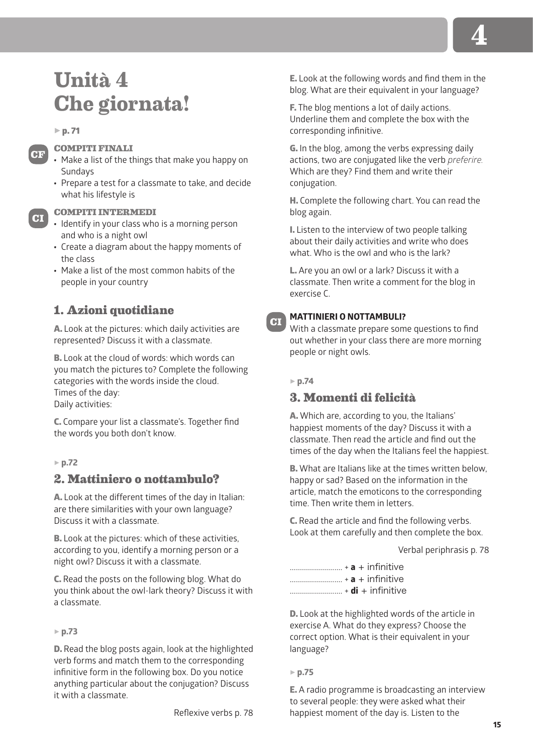# **Unità 4 Che giornata!**

#### $\triangleright$  p. 71

**CF**

**CI**

#### **COMPITI FINALI**

- Make a list of the things that make you happy on Sundays
- Prepare a test for a classmate to take, and decide what his lifestyle is

#### **COMPITI INTERMEDI**

- Identify in your class who is a morning person and who is a night owl
- Create a diagram about the happy moments of the class
- Make a list of the most common habits of the people in your country

# **1. Azioni quotidiane**

A. Look at the pictures: which daily activities are represented? Discuss it with a classmate.

B. Look at the cloud of words: which words can you match the pictures to? Complete the following categories with the words inside the cloud. Times of the day: Daily activities:

C. Compare your list a classmate's. Together find the words you both don't know.

#### 5 **p.72**

## **2. Mattiniero o nottambulo?**

A. Look at the different times of the day in Italian: are there similarities with your own language? Discuss it with a classmate.

B. Look at the pictures: which of these activities, according to you, identify a morning person or a night owl? Discuss it with a classmate.

C. Read the posts on the following blog. What do you think about the owl-lark theory? Discuss it with a classmate.

### 5 **p.73**

D. Read the blog posts again, look at the highlighted verb forms and match them to the corresponding infinitive form in the following box. Do you notice anything particular about the conjugation? Discuss it with a classmate.

E. Look at the following words and find them in the blog. What are their equivalent in your language?

**F.** The blog mentions a lot of daily actions. Underline them and complete the box with the corresponding infinitive.

G. In the blog, among the verbs expressing daily actions, two are conjugated like the verb *preferire.* Which are they? Find them and write their conjugation.

H. Complete the following chart. You can read the blog again.

I. Listen to the interview of two people talking about their daily activities and write who does what. Who is the owl and who is the lark?

L. Are you an owl or a lark? Discuss it with a classmate. Then write a comment for the blog in exercise C.

## **MATTINIERI O NOTTAMBULI?**

With a classmate prepare some questions to find out whether in your class there are more morning people or night owls.

#### 5 **p.74**

**CI**

# **3. Momenti di felicità**

A. Which are, according to you, the Italians' happiest moments of the day? Discuss it with a classmate. Then read the article and find out the times of the day when the Italians feel the happiest.

B. What are Italians like at the times written below, happy or sad? Based on the information in the article, match the emoticons to the corresponding time. Then write them in letters.

C. Read the article and find the following verbs. Look at them carefully and then complete the box.

Verbal periphrasis p. 78

| $\ldots$ + di + infinitive |  |
|----------------------------|--|

D. Look at the highlighted words of the article in exercise A. What do they express? Choose the correct option. What is their equivalent in your language?

#### 5 **p.75**

E. A radio programme is broadcasting an interview to several people: they were asked what their happiest moment of the day is. Listen to the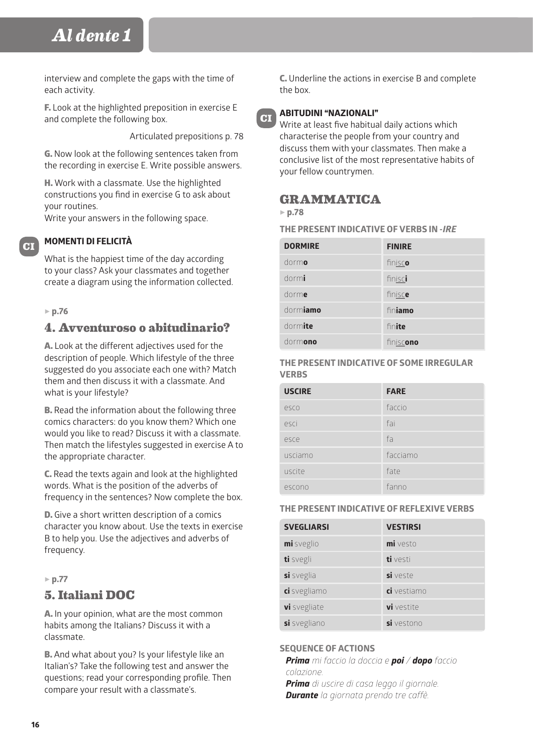interview and complete the gaps with the time of each activity.

F. Look at the highlighted preposition in exercise E and complete the following box.

Articulated prepositions p. 78

G. Now look at the following sentences taken from the recording in exercise E. Write possible answers.

H. Work with a classmate. Use the highlighted constructions you find in exercise G to ask about your routines.

Write your answers in the following space.

## **MOMENTI DI FELICITÀ**

What is the happiest time of the day according to your class? Ask your classmates and together create a diagram using the information collected.

## 5 **p.76**

**CI**

# **4. Avventuroso o abitudinario?**

A. Look at the different adjectives used for the description of people. Which lifestyle of the three suggested do you associate each one with? Match them and then discuss it with a classmate. And what is your lifestyle?

**B.** Read the information about the following three comics characters: do you know them? Which one would you like to read? Discuss it with a classmate. Then match the lifestyles suggested in exercise A to the appropriate character.

C. Read the texts again and look at the highlighted words. What is the position of the adverbs of frequency in the sentences? Now complete the box.

D. Give a short written description of a comics character you know about. Use the texts in exercise B to help you. Use the adjectives and adverbs of frequency.

## 5 **p.77**

## **5. Italiani DOC**

A. In your opinion, what are the most common habits among the Italians? Discuss it with a classmate.

B. And what about you? Is your lifestyle like an Italian's? Take the following test and answer the questions; read your corresponding profile. Then compare your result with a classmate's.

C. Underline the actions in exercise B and complete the box.



#### **ABITUDINI "NAZIONALI"**

Write at least five habitual daily actions which characterise the people from your country and discuss them with your classmates. Then make a conclusive list of the most representative habits of your fellow countrymen.

# **GRAMMATICA**

## 5 **p.78**

**THE PRESENT INDICATIVE OF VERBS IN -***IRE*

| <b>DORMIRE</b> | <b>FINIRE</b> |
|----------------|---------------|
| dormo          | finisco       |
| dormi          | finisci       |
| dorme          | finisce       |
| dormiamo       | finiamo       |
| dormite        | finite        |
| dormono        | finiscono     |

#### **THE PRESENT INDICATIVE OF SOME IRREGULAR VERBS**

| <b>USCIRE</b> | <b>FARE</b> |
|---------------|-------------|
| esco          | faccio      |
| esci          | fai         |
| esce          | fa          |
| usciamo       | facciamo    |
| uscite        | fate        |
| escono        | fanno       |

#### **THE PRESENT INDICATIVE OF REFLEXIVE VERBS**

| <b>SVEGLIARSI</b> | <b>VESTIRSI</b> |
|-------------------|-----------------|
| mi sveglio        | $mi$ vesto      |
| ti svegli         | ti vesti        |
| si sveglia        | si veste        |
| ci svegliamo      | ci vestiamo     |
| vi svegliate      | vi vestite      |
| si svegliano      | si vestono      |

#### **SEQUENCE OF ACTIONS**

*Prima mi faccio la doccia e poi / dopo faccio colazione.* 

*Prima di uscire di casa leggo il giornale. Durante la giornata prendo tre caffè.*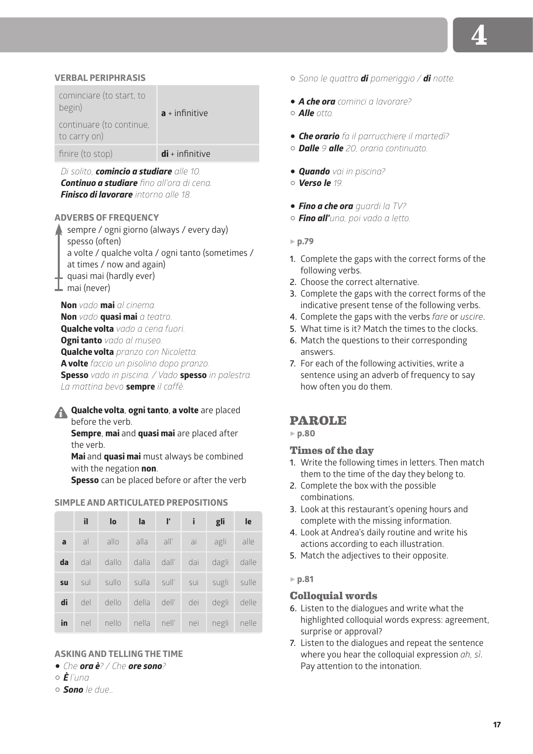#### **VERBAL PERIPHRASIS**

| cominciare (to start, to<br>begin)<br>continuare (to continue,<br>to carry on) | $a + infinitive$  |
|--------------------------------------------------------------------------------|-------------------|
| finire (to stop)                                                               | $di + infinitive$ |
|                                                                                |                   |

*Di solito, comincio a studiare alle 10. Continuo a studiare fino all'ora di cena. Finisco di lavorare intorno alle 18.*

#### **ADVERBS OF FREQUENCY**

sempre / ogni giorno (always / every day) spesso (often) a volte / qualche volta / ogni tanto (sometimes / at times / now and again) quasi mai (hardly ever) mai (never)

**Non** *vado* **mai** *al cinema.* **Non** *vado* **quasi mai** *a teatro.* **Qualche volta** *vado a cena fuori.* **Ogni tanto** *vado al museo.* **Qualche volta** *pranzo con Nicoletta.* **A volte** *faccio un pisolino dopo pranzo.* **Spesso** *vado in piscina. / Vado* **spesso** *in palestra. La mattina bevo* **sempre** *il caffè.*

**Qualche volta**, **ogni tanto**, **a volte** are placed before the verb.

**Sempre**, **mai** and **quasi mai** are placed after the verb.

**Mai** and **quasi mai** must always be combined with the negation **non**.

**Spesso** can be placed before or after the verb

#### **SIMPLE AND ARTICULATED PREPOSITIONS**

|              | il. | lo                                    | $\overline{a}$ | $\Gamma$ i | gli   | le    |
|--------------|-----|---------------------------------------|----------------|------------|-------|-------|
| $\mathbf{a}$ | al  | allo alla all' ai                     |                |            | agli  | alle  |
| da           | dal | dallo dalla dall' dai                 |                |            | dagli | dalle |
| su           | sul | sullo sulla sull' sui sugli sulle     |                |            |       |       |
| di           | del | dello della dell' dei                 |                |            | degli | delle |
| in           |     | nel nello nella nell' nei negli nelle |                |            |       |       |

#### **ASKING AND TELLING THE TIME**

1 *Che ora è? / Che ore sono?*

 $\alpha \vec{F}$ *l'una* 

C *Sono le due…*

C *Sono le quattro di pomeriggio / di notte.*

1 *A che ora cominci a lavorare?* C *Alle otto.*

- 1 *Che orario fa il parrucchiere il martedì?*
- C *Dalle 9 alle 20, orario continuato.*
- 1 *Quando vai in piscina?*
- C *Verso le 19.*
- 1 *Fino a che ora guardi la TV?*
- C *Fino all'una, poi vado a letto.*
- 5 **p.79**
- **1.** Complete the gaps with the correct forms of the following verbs.
- **2.** Choose the correct alternative.
- **3.** Complete the gaps with the correct forms of the indicative present tense of the following verbs.
- **4.** Complete the gaps with the verbs *fare* or *uscire*.
- **5.** What time is it? Match the times to the clocks.
- **6.** Match the questions to their corresponding answers.
- **7.** For each of the following activities, write a sentence using an adverb of frequency to say how often you do them.

## **PAROLE**

5 **p.80**

#### **Times of the day**

- **1.** Write the following times in letters. Then match them to the time of the day they belong to.
- **2.** Complete the box with the possible combinations.
- **3.** Look at this restaurant's opening hours and complete with the missing information.
- **4.** Look at Andrea's daily routine and write his actions according to each illustration.
- **5.** Match the adjectives to their opposite.
- 5 **p.81**

#### **Colloquial words**

- **6.** Listen to the dialogues and write what the highlighted colloquial words express: agreement, surprise or approval?
- **7.** Listen to the dialogues and repeat the sentence where you hear the colloquial expression *ah, sì*. Pay attention to the intonation.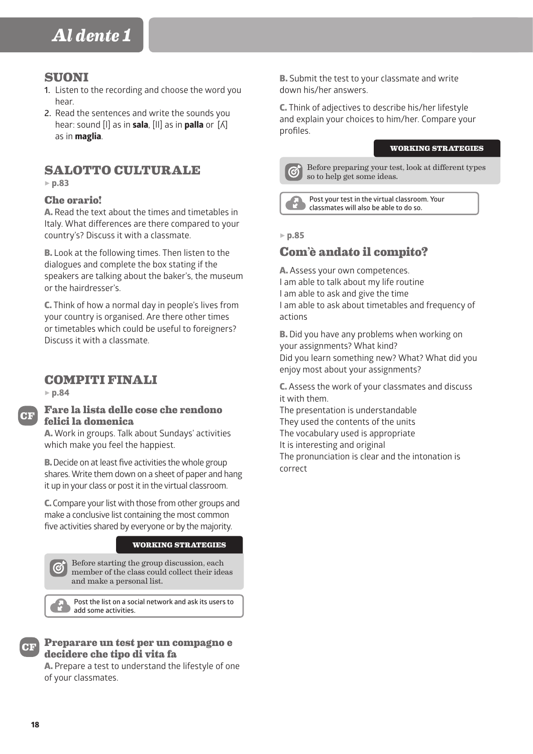# **SUONI**

- **1.** Listen to the recording and choose the word you hear.
- **2.** Read the sentences and write the sounds you hear: sound [l] as in **sala**, [ll] as in **palla** or [ʎ] as in **maglia**.

# **SALOTTO CULTURALE**

5 **p.83**

## **Che orario!**

A. Read the text about the times and timetables in Italy. What differences are there compared to your country's? Discuss it with a classmate.

B. Look at the following times. Then listen to the dialogues and complete the box stating if the speakers are talking about the baker's, the museum or the hairdresser's.

C. Think of how a normal day in people's lives from your country is organised. Are there other times or timetables which could be useful to foreigners? Discuss it with a classmate.

# **COMPITI FINALI**

5 **p.84**



## **Fare la lista delle cose che rendono felici la domenica**

A. Work in groups. Talk about Sundays' activities which make you feel the happiest.

**B.** Decide on at least five activities the whole group shares. Write them down on a sheet of paper and hang it up in your class or post it in the virtual classroom.

C. Compare your list with those from other groups and make a conclusive list containing the most common five activities shared by everyone or by the majority.

#### **WORKING STRATEGIES**

Before starting the group discussion, each member of the class could collect their ideas and make a personal list.

**Post the list on a social network and ask its users to add some activities.**

## **Preparare un test per un compagno e decidere che tipo di vita fa**

A. Prepare a test to understand the lifestyle of one of your classmates.

B. Submit the test to your classmate and write down his/her answers.

C. Think of adjectives to describe his/her lifestyle and explain your choices to him/her. Compare your profiles.

#### **WORKING STRATEGIES**



Before preparing your test, look at different types so to help get some ideas.

**Post your test in the virtual classroom. Your classmates will also be able to do so.**

## 5 **p.85**

# **Com'è andato il compito?**

A. Assess your own competences. I am able to talk about my life routine I am able to ask and give the time I am able to ask about timetables and frequency of actions

**B.** Did you have any problems when working on your assignments? What kind? Did you learn something new? What? What did you enjoy most about your assignments?

C. Assess the work of your classmates and discuss it with them.

The presentation is understandable They used the contents of the units The vocabulary used is appropriate It is interesting and original The pronunciation is clear and the intonation is correct

**CF**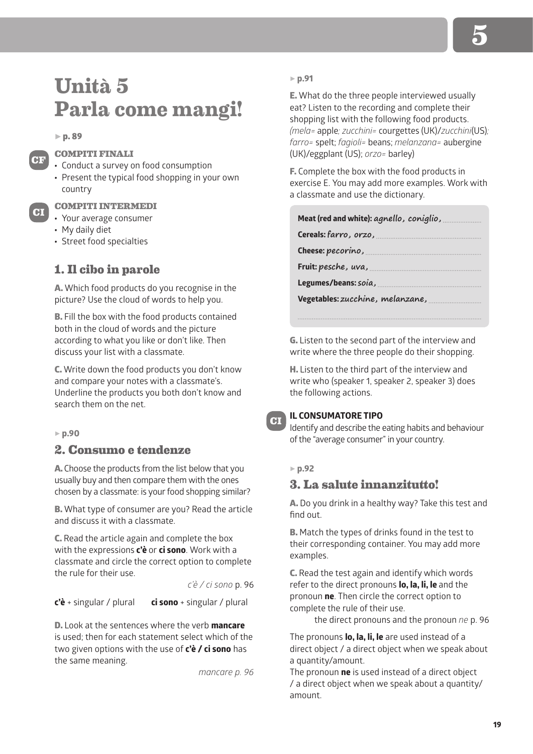# **Unità 5 Parla come mangi!**

 $\blacktriangleright$  p. 89

**CF**

**CI**

## **COMPITI FINALI**

- Conduct a survey on food consumption
- Present the typical food shopping in your own country

#### **COMPITI INTERMEDI**

- Your average consumer
- My daily diet
- Street food specialties

# **1. Il cibo in parole**

A. Which food products do you recognise in the picture? Use the cloud of words to help you.

B. Fill the box with the food products contained both in the cloud of words and the picture according to what you like or don't like. Then discuss your list with a classmate.

C. Write down the food products you don't know and compare your notes with a classmate's. Underline the products you both don't know and search them on the net.

#### 5 **p.90**

# **2. Consumo e tendenze**

A. Choose the products from the list below that you usually buy and then compare them with the ones chosen by a classmate: is your food shopping similar?

B. What type of consumer are you? Read the article and discuss it with a classmate.

C. Read the article again and complete the box with the expressions **c'è** or **ci sono**. Work with a classmate and circle the correct option to complete the rule for their use.

*c'è / ci sono* p. 96

**c'è** + singular / plural **ci sono** + singular / plural

D. Look at the sentences where the verb **mancare** is used; then for each statement select which of the two given options with the use of **c'è / ci sono** has the same meaning.

*mancare p. 96*

#### 5 **p.91**

E. What do the three people interviewed usually eat? Listen to the recording and complete their shopping list with the following food products. *(mela=* apple*; zucchini=* courgettes (UK)/*zucchini*(US)*; farro=* spelt; *fagioli=* beans; *melanzana=* aubergine (UK)/eggplant (US); *orzo=* barley)

F. Complete the box with the food products in exercise E. You may add more examples. Work with a classmate and use the dictionary.

| Meat (red and white): agnello, coniglio, |  |  |
|------------------------------------------|--|--|
| Cereals: farro, orzo,                    |  |  |
| Cheese: pecorino,                        |  |  |
| Fruit: pesche, uva,                      |  |  |
| Legumes/beans: soia,                     |  |  |
| Vegetables: zucchine, melanzane,         |  |  |
|                                          |  |  |

G. Listen to the second part of the interview and write where the three people do their shopping.

H. Listen to the third part of the interview and write who (speaker 1, speaker 2, speaker 3) does the following actions.

#### **IL CONSUMATORE TIPO**

Identify and describe the eating habits and behaviour of the "average consumer" in your country.

## 5 **p.92**

**CI**

## **3. La salute innanzitutto!**

A. Do you drink in a healthy way? Take this test and find out.

B. Match the types of drinks found in the test to their corresponding container. You may add more examples.

C. Read the test again and identify which words refer to the direct pronouns **lo, la, li, le** and the pronoun **ne**. Then circle the correct option to complete the rule of their use.

the direct pronouns and the pronoun *ne* p. 96

The pronouns **lo, la, li, le** are used instead of a direct object / a direct object when we speak about a quantity/amount.

The pronoun **ne** is used instead of a direct object / a direct object when we speak about a quantity/ amount.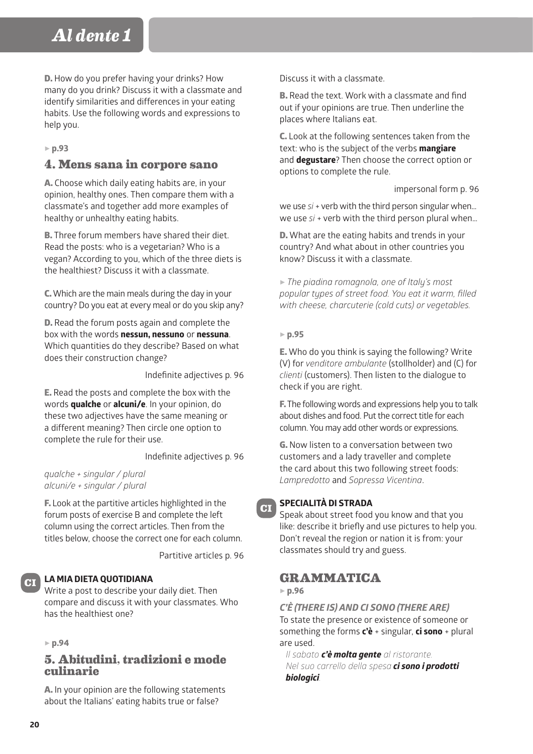D. How do you prefer having your drinks? How many do you drink? Discuss it with a classmate and identify similarities and differences in your eating habits. Use the following words and expressions to help you.

5 **p.93**

# **4. Mens sana in corpore sano**

A. Choose which daily eating habits are, in your opinion, healthy ones. Then compare them with a classmate's and together add more examples of healthy or unhealthy eating habits.

B. Three forum members have shared their diet. Read the posts: who is a vegetarian? Who is a vegan? According to you, which of the three diets is the healthiest? Discuss it with a classmate.

C. Which are the main meals during the day in your country? Do you eat at every meal or do you skip any?

D. Read the forum posts again and complete the box with the words **nessun, nessuno** or **nessuna**. Which quantities do they describe? Based on what does their construction change?

Indefinite adjectives p. 96

E. Read the posts and complete the box with the words **qualche** or **alcuni/e**. In your opinion, do these two adjectives have the same meaning or a different meaning? Then circle one option to complete the rule for their use.

Indefinite adjectives p. 96

*qualche + singular / plural alcuni/e + singular / plural*

F. Look at the partitive articles highlighted in the forum posts of exercise B and complete the left column using the correct articles. Then from the titles below, choose the correct one for each column.

Partitive articles p. 96

## **LA MIA DIETA QUOTIDIANA**

Write a post to describe your daily diet. Then compare and discuss it with your classmates. Who has the healthiest one?

5 **p.94**

## **5. Abitudini, tradizioni e mode culinarie**

A. In your opinion are the following statements about the Italians' eating habits true or false?

Discuss it with a classmate.

B. Read the text. Work with a classmate and find out if your opinions are true. Then underline the places where Italians eat.

C. Look at the following sentences taken from the text: who is the subject of the verbs **mangiare** and **degustare**? Then choose the correct option or options to complete the rule.

impersonal form p. 96

we use *si* + verb with the third person singular when… we use *si* + verb with the third person plural when…

D. What are the eating habits and trends in your country? And what about in other countries you know? Discuss it with a classmate.

5 *The piadina romagnola, one of Italy's most popular types of street food. You eat it warm, filled with cheese, charcuterie (cold cuts) or vegetables.*

## 5 **p.95**

E. Who do you think is saying the following? Write (V) for *venditore ambulante* (stollholder) and (C) for *clienti* (customers). Then listen to the dialogue to check if you are right.

F. The following words and expressions help you to talk about dishes and food. Put the correct title for each column. You may add other words or expressions.

G. Now listen to a conversation between two customers and a lady traveller and complete the card about this two following street foods: *Lampredotto* and *Sopressa Vicentina*.

## **SPECIALITÀ DI STRADA**

Speak about street food you know and that you like: describe it briefly and use pictures to help you. Don't reveal the region or nation it is from: your classmates should try and guess.

# **GRAMMATICA**

5 **p.96**

**CI**

*C'È (THERE IS) AND CI SONO (THERE ARE)*

To state the presence or existence of someone or something the forms **c'è** + singular, **ci sono** + plural are used.

*Il sabato c'è molta gente al ristorante. Nel suo carrello della spesa ci sono i prodotti biologici.*

**CI**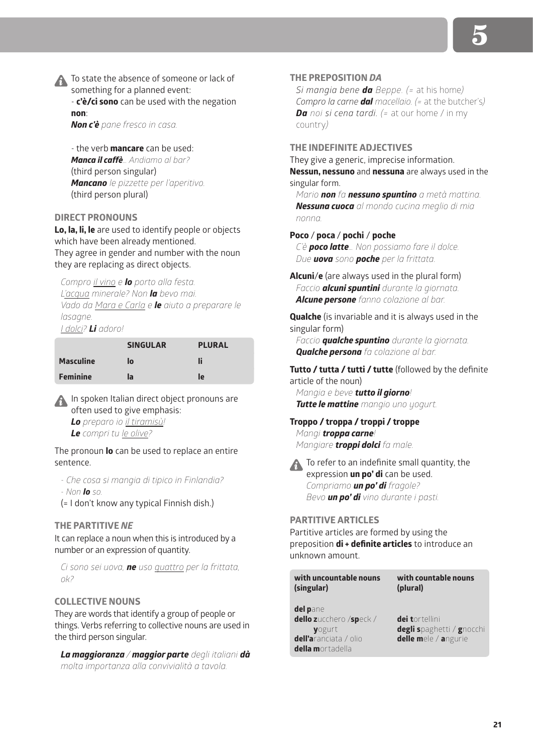To state the absence of someone or lack of something for a planned event: - **c'è/ci sono** can be used with the negation

**non**:

*Non c'è pane fresco in casa.*

- the verb **mancare** can be used: *Manca il caffè… Andiamo al bar?* (third person singular) *Mancano le pizzette per l'aperitivo.* (third person plural)

#### **DIRECT PRONOUNS**

**Lo, la, li, le** are used to identify people or objects which have been already mentioned. They agree in gender and number with the noun they are replacing as direct objects.

*Compro il vino e lo porto alla festa. L'acqua minerale? Non la bevo mai. Vado da Mara e Carla e le aiuto a preparare le lasagne. I dolci? Li adoro!*

|                  | <b>SINGULAR</b> | <b>PLURAL</b> |
|------------------|-----------------|---------------|
| <b>Masculine</b> | lo              | li            |
| <b>Feminine</b>  | la              | le            |

In spoken Italian direct object pronouns are often used to give emphasis:

*Lo preparo io il tiramisù!*

*Le compri tu le olive?*

The pronoun **lo** can be used to replace an entire sentence.

*- Che cosa si mangia di tipico in Finlandia? - Non lo so.* 

(= I don't know any typical Finnish dish.)

#### **THE PARTITIVE** *NE*

It can replace a noun when this is introduced by a number or an expression of quantity.

*Ci sono sei uova, ne uso quattro per la frittata, ok?*

## **COLLECTIVE NOUNS**

They are words that identify a group of people or things. Verbs referring to collective nouns are used in the third person singular.

*La maggioranza / maggior parte degli italiani dà molta importanza alla convivialità a tavola.*

#### **THE PREPOSITION** *DA*

*Si mangia bene da Beppe. (=* at his home*) Compro la carne dal macellaio. (=* at the butcher's*) Da noi si cena tardi. (=* at our home / in my country*)*

**THE INDEFINITE ADJECTIVES**

They give a generic, imprecise information. **Nessun, nessuno** and **nessuna** are always used in the singular form.

*Mario non fa nessuno spuntino a metà mattina. Nessuna cuoca al mondo cucina meglio di mia nonna.*

#### **Poco** / **poca** / **pochi** / **poche**

*C'è poco latte… Non possiamo fare il dolce. Due uova sono poche per la frittata.*

**Alcuni**/**e** (are always used in the plural form) *Faccio alcuni spuntini durante la giornata. Alcune persone fanno colazione al bar.*

**Qualche** (is invariable and it is always used in the singular form)

*Faccio qualche spuntino durante la giornata. Qualche persona fa colazione al bar.*

**Tutto / tutta / tutti / tutte** (followed by the definite article of the noun)

*Mangia e beve tutto il giorno! Tutte le mattine mangio uno yogurt.*

**Troppo / troppa / troppi / troppe** *Mangi troppa carne! Mangiare troppi dolci fa male.*

**A** To refer to an indefinite small quantity, the expression **un po' di** can be used. *Compriamo un po' di fragole? Bevo un po' di vino durante i pasti.*

**PARTITIVE ARTICLES**

Partitive articles are formed by using the preposition **di + definite articles** to introduce an unknown amount.

| with uncountable nouns                                                                             | with countable nouns                                                |
|----------------------------------------------------------------------------------------------------|---------------------------------------------------------------------|
| (singular)                                                                                         | (plural)                                                            |
| del pane<br>dello zucchero /speck /<br>vogurt<br>dell'aranciata / olio<br><b>della m</b> ortadella | dei tortellini<br>degli spaghetti / gnocchi<br>delle mele / angurie |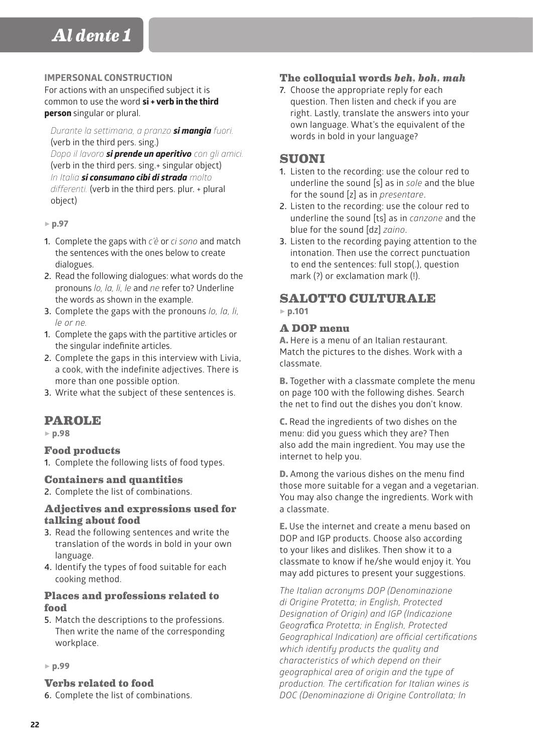## **IMPERSONAL CONSTRUCTION**

For actions with an unspecified subject it is common to use the word **si + verb in the third person** singular or plural.

#### *Durante la settimana, a pranzo si mangia fuori.* (verb in the third pers. sing.)

*Dopo il lavoro si prende un aperitivo con gli amici.*  (verb in the third pers. sing.+ singular object) *In Italia si consumano cibi di strada molto differenti.* (verb in the third pers. plur. + plural object)

- 5 **p.97**
- **1.** Complete the gaps with *c'è* or *ci sono* and match the sentences with the ones below to create dialogues.
- **2.** Read the following dialogues: what words do the pronouns *lo, la, li, le* and *ne* refer to? Underline the words as shown in the example.
- **3.** Complete the gaps with the pronouns *lo, la, li, le or ne.*
- **1.** Complete the gaps with the partitive articles or the singular indefinite articles.
- **2.** Complete the gaps in this interview with Livia, a cook, with the indefinite adjectives. There is more than one possible option.
- **3.** Write what the subject of these sentences is.

# **PAROLE**

5 **p.98**

## **Food products**

**1.** Complete the following lists of food types.

## **Containers and quantities**

**2.** Complete the list of combinations.

## **Adjectives and expressions used for talking about food**

- **3.** Read the following sentences and write the translation of the words in bold in your own language.
- **4.** Identify the types of food suitable for each cooking method.

## **Places and professions related to food**

**5.** Match the descriptions to the professions. Then write the name of the corresponding workplace.

#### 5 **p.99**

## **Verbs related to food**

**6.** Complete the list of combinations.

## **The colloquial words** *beh, boh, mah*

**7.** Choose the appropriate reply for each question. Then listen and check if you are right. Lastly, translate the answers into your own language. What's the equivalent of the words in bold in your language?

## **SUONI**

- **1.** Listen to the recording: use the colour red to underline the sound [s] as in *sole* and the blue for the sound [z] as in *presentare*.
- **2.** Listen to the recording: use the colour red to underline the sound [ts] as in *canzone* and the blue for the sound [dz] *zaino*.
- **3.** Listen to the recording paying attention to the intonation. Then use the correct punctuation to end the sentences: full stop(.), question mark (?) or exclamation mark (!).

# **SALOTTO CULTURALE** 5 **p.101**

## **A DOP menu**

A. Here is a menu of an Italian restaurant. Match the pictures to the dishes. Work with a classmate.

B. Together with a classmate complete the menu on page 100 with the following dishes. Search the net to find out the dishes you don't know.

C. Read the ingredients of two dishes on the menu: did you guess which they are? Then also add the main ingredient. You may use the internet to help you.

D. Among the various dishes on the menu find those more suitable for a vegan and a vegetarian. You may also change the ingredients. Work with a classmate.

E. Use the internet and create a menu based on DOP and IGP products. Choose also according to your likes and dislikes. Then show it to a classmate to know if he/she would enjoy it. You may add pictures to present your suggestions.

*The Italian acronyms DOP (Denominazione di Origine Protetta; in English, Protected Designation of Origin) and IGP (Indicazione Geogra*fi*ca Protetta; in English, Protected Geographical Indication) are official certifications which identify products the quality and characteristics of which depend on their geographical area of origin and the type of production. The certification for Italian wines is DOC (Denominazione di Origine Controllata; In*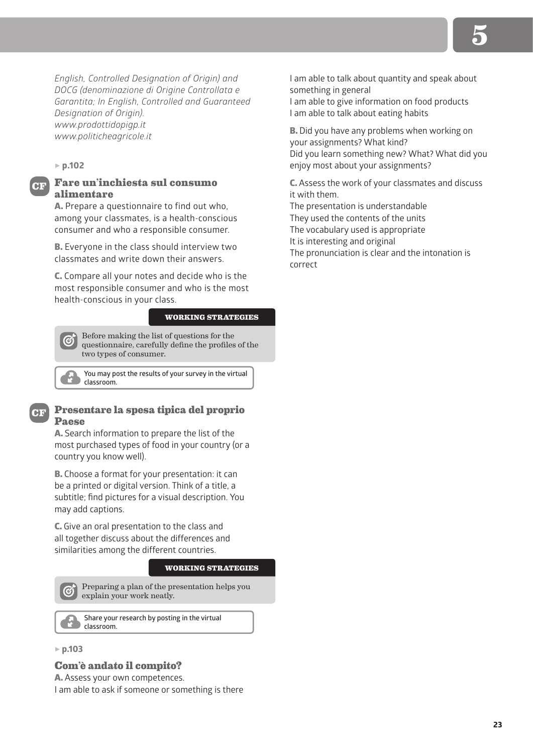*English, Controlled Designation of Origin) and DOCG (denominazione di Origine Controllata e Garantita; In English, Controlled and Guaranteed Designation of Origin). www.prodottidopigp.it www.politicheagricole.it*

#### 5 **p.102**

**CF**

## **Fare un'inchiesta sul consumo alimentare**

A. Prepare a questionnaire to find out who, among your classmates, is a health-conscious consumer and who a responsible consumer.

B. Everyone in the class should interview two classmates and write down their answers.

C. Compare all your notes and decide who is the most responsible consumer and who is the most health-conscious in your class.

#### **WORKING STRATEGIES**

Before making the list of questions for the questionnaire, carefully define the profiles of the two types of consumer.

**You may post the results of your survey in the virtual classroom.**

#### **Presentare la spesa tipica del proprio Paese**

A. Search information to prepare the list of the most purchased types of food in your country (or a country you know well).

B. Choose a format for your presentation: it can be a printed or digital version. Think of a title, a subtitle; find pictures for a visual description. You may add captions.

C. Give an oral presentation to the class and all together discuss about the differences and similarities among the different countries.

#### **WORKING STRATEGIES**

Preparing a plan of the presentation helps you explain your work neatly.

**Share your research by posting in the virtual classroom.**

#### 5 **p.103**

#### **Com'è andato il compito?**

A. Assess your own competences.

I am able to ask if someone or something is there

I am able to talk about quantity and speak about something in general

I am able to give information on food products I am able to talk about eating habits

B. Did you have any problems when working on your assignments? What kind? Did you learn something new? What? What did you enjoy most about your assignments?

C. Assess the work of your classmates and discuss it with them.

The presentation is understandable They used the contents of the units The vocabulary used is appropriate It is interesting and original The pronunciation is clear and the intonation is correct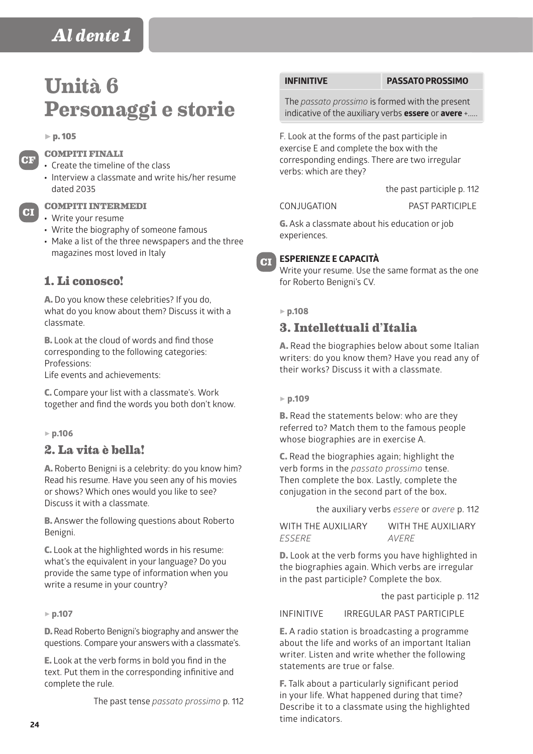# **Unità 6 Personaggi e storie**

#### $\triangleright$  p. 105

**CF**

**CI**

## **COMPITI FINALI**

- Create the timeline of the class
- Interview a classmate and write his/her resume dated 2035

#### **COMPITI INTERMEDI**

- Write your resume
- Write the biography of someone famous
- Make a list of the three newspapers and the three magazines most loved in Italy

# **1. Li conosco!**

A. Do you know these celebrities? If you do, what do you know about them? Discuss it with a classmate.

B. Look at the cloud of words and find those corresponding to the following categories: Professions:

Life events and achievements:

C. Compare your list with a classmate's. Work together and find the words you both don't know.

#### 5 **p.106**

## **2. La vita è bella!**

A. Roberto Benigni is a celebrity: do you know him? Read his resume. Have you seen any of his movies or shows? Which ones would you like to see? Discuss it with a classmate.

B. Answer the following questions about Roberto Benigni.

C. Look at the highlighted words in his resume: what's the equivalent in your language? Do you provide the same type of information when you write a resume in your country?

#### 5 **p.107**

D. Read Roberto Benigni's biography and answer the questions. Compare your answers with a classmate's.

E. Look at the verb forms in bold you find in the text. Put them in the corresponding infinitive and complete the rule.

The past tense *passato prossimo* p. 112

#### **INFINITIVE PASSATO PROSSIMO**

The *passato prossimo* is formed with the present indicative of the auxiliary verbs **essere** or **avere** +.....

F. Look at the forms of the past participle in exercise E and complete the box with the corresponding endings. There are two irregular verbs: which are they?

CONJUGATION PAST PARTICIPLE

the past participle p. 112

G. Ask a classmate about his education or job experiences.



Write your resume. Use the same format as the one for Roberto Benigni's CV.

#### 5 **p.108**

**CI**

## **3. Intellettuali d'Italia**

A. Read the biographies below about some Italian writers: do you know them? Have you read any of their works? Discuss it with a classmate.

#### 5 **p.109**

**B.** Read the statements below: who are they referred to? Match them to the famous people whose biographies are in exercise A.

C. Read the biographies again; highlight the verb forms in the *passato prossimo* tense. Then complete the box. Lastly, complete the conjugation in the second part of the box**.**

the auxiliary verbs *essere* or *avere* p. 112

| WITH THE AUXILIARY | WITH THE AUXILIARY |
|--------------------|--------------------|
| <i>ESSERE</i>      | <i>AVFRF</i>       |

D. Look at the verb forms you have highlighted in the biographies again. Which verbs are irregular in the past participle? Complete the box.

the past participle p. 112

INFINITIVE IRREGULAR PAST PARTICIPLE

E. A radio station is broadcasting a programme about the life and works of an important Italian writer. Listen and write whether the following statements are true or false.

F. Talk about a particularly significant period in your life. What happened during that time? Describe it to a classmate using the highlighted time indicators.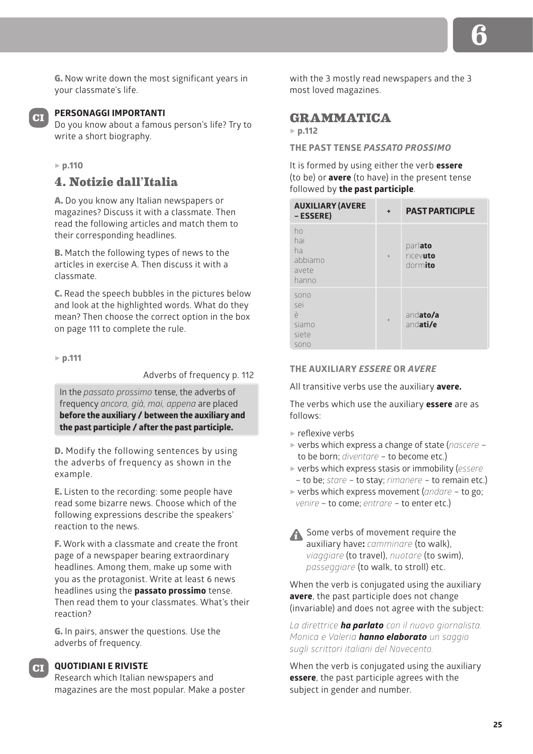G. Now write down the most significant years in your classmate's life.

## **CI**

## **PERSONAGGI IMPORTANTI**

Do you know about a famous person's life? Try to write a short biography.

## 5 **p.110**

## **4. Notizie dall'Italia**

A. Do you know any Italian newspapers or magazines? Discuss it with a classmate. Then read the following articles and match them to their corresponding headlines.

B. Match the following types of news to the articles in exercise A. Then discuss it with a classmate.

C. Read the speech bubbles in the pictures below and look at the highlighted words. What do they mean? Then choose the correct option in the box on page 111 to complete the rule.

5 **p.111**

Adverbs of frequency p. 112

In the *passato prossimo* tense, the adverbs of frequency *ancora, già, mai, appena* are placed **before the auxiliary / between the auxiliary and the past participle / after the past participle.**

D. Modify the following sentences by using the adverbs of frequency as shown in the example.

E. Listen to the recording: some people have read some bizarre news. Choose which of the following expressions describe the speakers' reaction to the news.

F. Work with a classmate and create the front page of a newspaper bearing extraordinary headlines. Among them, make up some with you as the protagonist. Write at least 6 news headlines using the **passato prossimo** tense. Then read them to your classmates. What's their reaction?

G. In pairs, answer the questions. Use the adverbs of frequency.

## **QUOTIDIANI E RIVISTE CI**

Research which Italian newspapers and magazines are the most popular. Make a poster with the 3 mostly read newspapers and the 3 most loved magazines.

## **GRAMMATICA**

#### 5 **p.112**

**THE PAST TENSE** *PASSATO PROSSIMO*

It is formed by using either the verb **essere** (to be) or **avere** (to have) in the present tense followed by **the past participle**.

| <b>AUXILIARY (AVERE</b><br>- ESSERE)         | ٠   | <b>PAST PARTICIPLE</b>         |
|----------------------------------------------|-----|--------------------------------|
| ho<br>hai<br>ha<br>abbiamo<br>avete<br>hanno | $+$ | parlato<br>ricevuto<br>dormito |
| sono<br>sei<br>è<br>siamo<br>siete<br>sono   | $+$ | andato/a<br>andati/e           |

## **THE AUXILIARY** *ESSERE* **OR** *AVERE*

All transitive verbs use the auxiliary **avere.**

The verbs which use the auxiliary **essere** are as follows:

- $\blacktriangleright$  reflexive verbs
- 5 verbs which express a change of state (*nascere* to be born; *diventare* – to become etc.)
- 5 verbs which express stasis or immobility (*essere* – to be; *stare* – to stay; *rimanere* – to remain etc.)
- 5 verbs which express movement (*andare* to go; *venire* – to come; *entrare* – to enter etc.)

Some verbs of movement require the auxiliary have**:** *camminare* (to walk), *viaggiare* (to travel), *nuotare* (to swim), *passeggiare* (to walk, to stroll) etc.

When the verb is conjugated using the auxiliary **avere**, the past participle does not change (invariable) and does not agree with the subject:

*La direttrice ha parlato con il nuovo giornalista. Monica e Valeria hanno elaborato un saggio sugli scrittori italiani del Novecento.* 

When the verb is conjugated using the auxiliary **essere**, the past participle agrees with the subject in gender and number.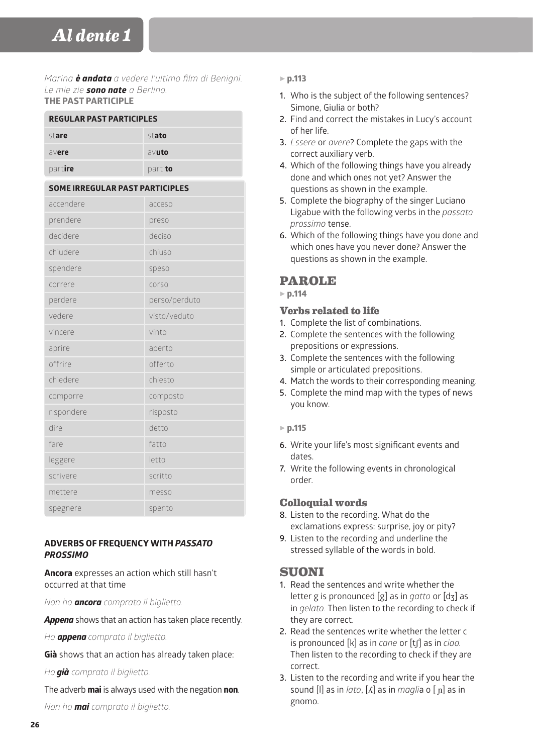*Marina è andata a vedere l'ultimo film di Benigni. Le mie zie sono nate a Berlino.* **THE PAST PARTICIPLE**

| <b>REGULAR PAST PARTICIPLES</b>        |               |  |
|----------------------------------------|---------------|--|
| stato<br>stare                         |               |  |
| avere                                  | avuto         |  |
| partire                                | partito       |  |
| <b>SOME IRREGULAR PAST PARTICIPLES</b> |               |  |
| accendere                              | acceso        |  |
| prendere                               | preso         |  |
| decidere                               | deciso        |  |
| chiudere                               | chiuso        |  |
| spendere                               | speso         |  |
| correre                                | corso         |  |
| perdere                                | perso/perduto |  |
| vedere                                 | visto/veduto  |  |
| vincere                                | vinto         |  |
| aprire                                 | aperto        |  |
| offrire                                | offerto       |  |
| chiedere                               | chiesto       |  |
| comporre                               | composto      |  |
| rispondere                             | risposto      |  |
| dire                                   | detto         |  |
| fare                                   | fatto         |  |
| leggere                                | letto         |  |
| scrivere                               | scritto       |  |
| mettere                                | messo         |  |
| spegnere                               | spento        |  |

## **ADVERBS OF FREQUENCY WITH** *PASSATO PROSSIMO*

**Ancora** expresses an action which still hasn't occurred at that time

*Non ho ancora comprato il biglietto.*

*Appena* shows that an action has taken place recently*:*

*Ho appena comprato il biglietto.*

**Già** shows that an action has already taken place:

*Ho già comprato il biglietto.*

The adverb **mai** is always used with the negation **non**.

*Non ho mai comprato il biglietto.*

## 5 **p.113**

- **1.** Who is the subject of the following sentences? Simone, Giulia or both?
- **2.** Find and correct the mistakes in Lucy's account of her life.
- **3.** *Essere* or *avere*? Complete the gaps with the correct auxiliary verb.
- **4.** Which of the following things have you already done and which ones not yet? Answer the questions as shown in the example.
- **5.** Complete the biography of the singer Luciano Ligabue with the following verbs in the *passato prossimo* tense.
- **6.** Which of the following things have you done and which ones have you never done? Answer the questions as shown in the example.

# **PAROLE**

5 **p.114**

## **Verbs related to life**

- **1.** Complete the list of combinations.
- **2.** Complete the sentences with the following prepositions or expressions.
- **3.** Complete the sentences with the following simple or articulated prepositions.
- **4.** Match the words to their corresponding meaning.
- **5.** Complete the mind map with the types of news you know.

## 5 **p.115**

- **6.** Write your life's most significant events and dates.
- **7.** Write the following events in chronological order.

# **Colloquial words**

- **8.** Listen to the recording. What do the exclamations express: surprise, joy or pity?
- **9.** Listen to the recording and underline the stressed syllable of the words in bold.

# **SUONI**

- **1.** Read the sentences and write whether the letter g is pronounced [g] as in *gatto* or [dʒ] as in *gelato.* Then listen to the recording to check if they are correct.
- **2.** Read the sentences write whether the letter c is pronounced [k] as in *cane* or [tʃ] as in *ciao.*  Then listen to the recording to check if they are correct.
- **3.** Listen to the recording and write if you hear the sound [l] as in *lato*, [ʎ] as in *magli*a o [ ɲ] as in gnomo.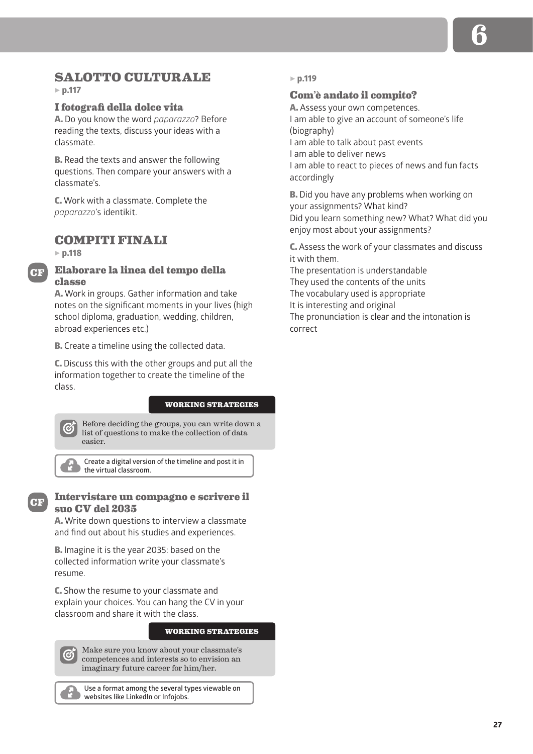# **SALOTTO CULTURALE**

5 **p.117**

### **I fotografi della dolce vita**

A. Do you know the word *paparazzo*? Before reading the texts, discuss your ideas with a classmate.

**B.** Read the texts and answer the following questions. Then compare your answers with a classmate's.

C. Work with a classmate. Complete the *paparazzo*'s identikit.

## **COMPITI FINALI**

5 **p.118**

**CF**

## **Elaborare la linea del tempo della classe**

A. Work in groups. Gather information and take notes on the significant moments in your lives (high school diploma, graduation, wedding, children, abroad experiences etc.)

**B.** Create a timeline using the collected data.

C. Discuss this with the other groups and put all the information together to create the timeline of the class.

#### **WORKING STRATEGIES**

Before deciding the groups, you can write down a **G** list of questions to make the collection of data easier.

**Create a digital version of the timeline and post it in the virtual classroom.**



## **Intervistare un compagno e scrivere il suo CV del 2035**

A. Write down questions to interview a classmate and find out about his studies and experiences.

B. Imagine it is the year 2035: based on the collected information write your classmate's resume.

C. Show the resume to your classmate and explain your choices. You can hang the CV in your classroom and share it with the class.

#### **WORKING STRATEGIES**

Make sure you know about your classmate's competences and interests so to envision an imaginary future career for him/her.

**Use a format among the several types viewable on websites like LinkedIn or Infojobs.**

#### 5 **p.119**

#### **Com'è andato il compito?**

A. Assess your own competences. I am able to give an account of someone's life (biography) I am able to talk about past events I am able to deliver news I am able to react to pieces of news and fun facts accordingly

B. Did you have any problems when working on your assignments? What kind? Did you learn something new? What? What did you enjoy most about your assignments?

C. Assess the work of your classmates and discuss it with them.

The presentation is understandable They used the contents of the units The vocabulary used is appropriate It is interesting and original The pronunciation is clear and the intonation is correct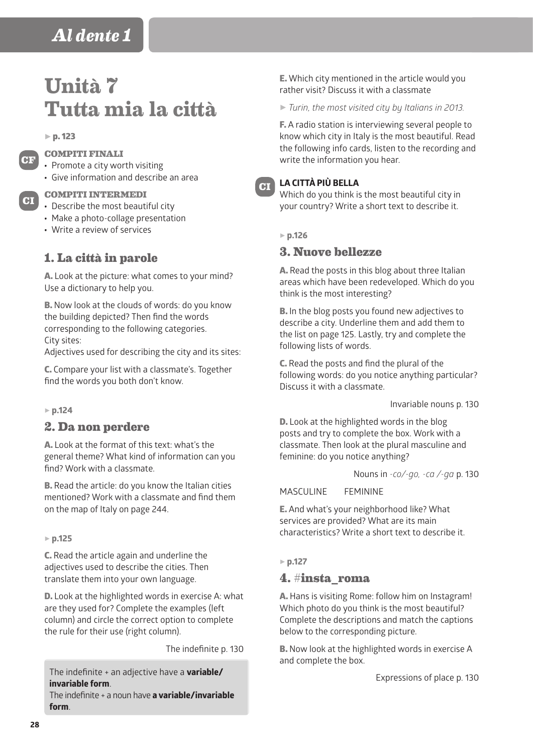# **Unità 7 Tutta mia la città**

 $\triangleright$  p. 123

**CF**

**CI**

## **COMPITI FINALI**

- Promote a city worth visiting
- Give information and describe an area

**COMPITI INTERMEDI**

- Describe the most beautiful city
- Make a photo-collage presentation
- Write a review of services

# **1. La città in parole**

A. Look at the picture: what comes to your mind? Use a dictionary to help you.

B. Now look at the clouds of words: do you know the building depicted? Then find the words corresponding to the following categories. City sites:

Adjectives used for describing the city and its sites:

C. Compare your list with a classmate's. Together find the words you both don't know.

#### 5 **p.124**

## **2. Da non perdere**

A. Look at the format of this text: what's the general theme? What kind of information can you find? Work with a classmate.

**B.** Read the article: do you know the Italian cities mentioned? Work with a classmate and find them on the map of Italy on page 244.

#### 5 **p.125**

C. Read the article again and underline the adjectives used to describe the cities. Then translate them into your own language.

D. Look at the highlighted words in exercise A: what are they used for? Complete the examples (left column) and circle the correct option to complete the rule for their use (right column).

The indefinite p. 130

The indefinite + an adjective have a **variable/ invariable form**.

The indefinite + a noun have **a variable/invariable form**.

E. Which city mentioned in the article would you rather visit? Discuss it with a classmate

5 *Turin, the most visited city by Italians in 2013.*

F. A radio station is interviewing several people to know which city in Italy is the most beautiful. Read the following info cards, listen to the recording and write the information you hear.



## **LA CITTÀ PIÙ BELLA**

Which do you think is the most beautiful city in your country? Write a short text to describe it.

5 **p.126**

## **3. Nuove bellezze**

A. Read the posts in this blog about three Italian areas which have been redeveloped. Which do you think is the most interesting?

B. In the blog posts you found new adjectives to describe a city. Underline them and add them to the list on page 125. Lastly, try and complete the following lists of words.

C. Read the posts and find the plural of the following words: do you notice anything particular? Discuss it with a classmate.

Invariable nouns p. 130

D. Look at the highlighted words in the blog posts and try to complete the box. Work with a classmate. Then look at the plural masculine and feminine: do you notice anything?

Nouns in *-co/-go, -ca /-ga* p. 130

MASCULINE FEMININE

E. And what's your neighborhood like? What services are provided? What are its main characteristics? Write a short text to describe it.

5 **p.127**

## **4. #insta\_roma**

A. Hans is visiting Rome: follow him on Instagram! Which photo do you think is the most beautiful? Complete the descriptions and match the captions below to the corresponding picture.

B. Now look at the highlighted words in exercise A and complete the box.

Expressions of place p. 130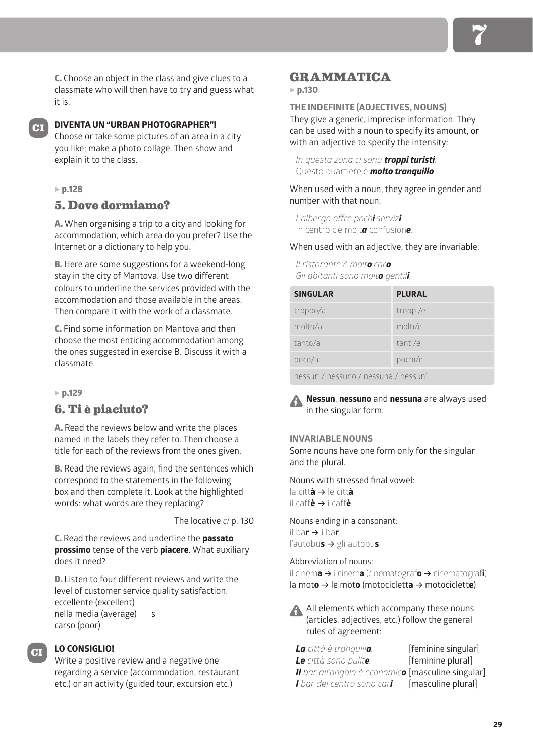C. Choose an object in the class and give clues to a classmate who will then have to try and guess what it is.

**CI**

## **DIVENTA UN "URBAN PHOTOGRAPHER"!**

Choose or take some pictures of an area in a city you like; make a photo collage. Then show and explain it to the class.

## 5 **p.128**

# **5. Dove dormiamo?**

A. When organising a trip to a city and looking for accommodation, which area do you prefer? Use the Internet or a dictionary to help you.

B. Here are some suggestions for a weekend-long stay in the city of Mantova. Use two different colours to underline the services provided with the accommodation and those available in the areas. Then compare it with the work of a classmate.

C. Find some information on Mantova and then choose the most enticing accommodation among the ones suggested in exercise B. Discuss it with a classmate.

#### 5 **p.129**

# **6. Ti è piaciuto?**

A. Read the reviews below and write the places named in the labels they refer to. Then choose a title for each of the reviews from the ones given.

B. Read the reviews again, find the sentences which correspond to the statements in the following box and then complete it. Look at the highlighted words: what words are they replacing?

The locative *ci* p. 130

C. Read the reviews and underline the **passato prossimo** tense of the verb **piacere**. What auxiliary does it need?

D. Listen to four different reviews and write the level of customer service quality satisfaction. eccellente (excellent) nella media (average) s carso (poor)

## **LO CONSIGLIO!**

**CI**

Write a positive review and a negative one regarding a service (accommodation, restaurant etc.) or an activity (guided tour, excursion etc.)

## **GRAMMATICA**

#### 5 **p.130**

## **THE INDEFINITE (ADJECTIVES, NOUNS)**

They give a generic, imprecise information. They can be used with a noun to specify its amount, or with an adjective to specify the intensity:

*In questa zona ci sono troppi turisti.* Questo quartiere è *molto tranquillo*.

When used with a noun, they agree in gender and number with that noun:

*L'albergo offre pochi servizi.* In centro c'è molt*a* confusion*e*.

When used with an adjective, they are invariable:

*Il ristorante è molto caro. Gli abitanti sono molto gentili.*

| <b>SINGULAR</b>                   | <b>PLURAL</b> |
|-----------------------------------|---------------|
| troppo/a                          | troppi/e      |
| molto/a                           | molti/e       |
| tanto/a                           | tanti/e       |
| poco/a                            | pochi/e       |
| BASSUD (BASSUDA (BASSUDA (BASSUD) |               |

nessun / nessuno / nessuna / nessun'

**Nessun**, **nessuno** and **nessuna** are always used in the singular form.

### **INVARIABLE NOUNS**

Some nouns have one form only for the singular and the plural.

Nouns with stressed final vowel: la citt**à** B le citt**à**  $i$ **i** caff $\dot{e}$   $\rightarrow$  i caff $\dot{e}$ 

Nouns ending in a consonant: il ba**r** B i ba**r** l'autobu**s →** gli autobu**s** 

Abbreviation of nouns: il cinema → i cinema (cinematografo → cinematografi) la moto  $\rightarrow$  le moto (motocicletta  $\rightarrow$  motociclette)

A All elements which accompany these nouns (articles, adjectives, etc.) follow the general rules of agreement:

*La città è tranquilla.* [feminine singular] *Le città sono pulite.* [feminine plural] *Il bar all'angolo è economico.*[masculine singular] *I bar del centro sono cari.* [masculine plural]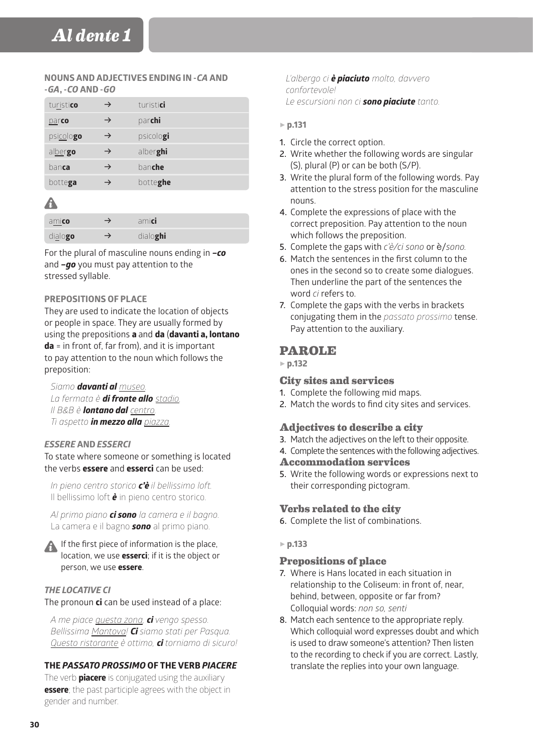### **NOUNS AND ADJECTIVES ENDING IN -***CA* **AND -***GA***, -***CO* **AND -***GO*

| turistico     |               | turistici |
|---------------|---------------|-----------|
| <u>pa</u> rco | $\rightarrow$ | parchi    |
| psicologo     | $\rightarrow$ | psicologi |
| albergo       | →             | alberghi  |
| banca         |               | banche    |
| bottega       |               | botteghe  |

# A

| amico            | amici    |
|------------------|----------|
| di <u>a</u> logo | dialoghi |

For the plural of masculine nouns ending in *–co* and *–go* you must pay attention to the stressed syllable.

## **PREPOSITIONS OF PLACE**

They are used to indicate the location of objects or people in space. They are usually formed by using the prepositions **a** and **da** (**davanti a, lontano da** = in front of, far from), and it is important to pay attention to the noun which follows the preposition:

*Siamo davanti al museo. La fermata è di fronte allo stadio. Il B&B è lontano dal centro. Ti aspetto in mezzo alla piazza.*

## *ESSERE* **AND** *ESSERCI*

To state where someone or something is located the verbs **essere** and **esserci** can be used:

*In pieno centro storico c'è il bellissimo loft.* Il bellissimo loft *è* in pieno centro storico.

*Al primo piano ci sono la camera e il bagno.* La camera e il bagno *sono* al primo piano.



If the first piece of information is the place, location, we use **esserci**; if it is the object or person, we use **essere**.

## *THE LOCATIVE CI*

## The pronoun **ci** can be used instead of a place:

*A me piace questa zona, ci vengo spesso. Bellissima Mantova! Ci siamo stati per Pasqua. Questo ristorante è ottimo, ci torniamo di sicuro!*

## **THE** *PASSATO PROSSIMO* **OF THE VERB** *PIACERE*

The verb **piacere** is conjugated using the auxiliary **essere**; the past participle agrees with the object in gender and number.

### *L'albergo ci è piaciuto molto, davvero confortevole! Le escursioni non ci sono piaciute tanto.*

## 5 **p.131**

- **1.** Circle the correct option.
- **2.** Write whether the following words are singular (S), plural (P) or can be both (S/P).
- **3.** Write the plural form of the following words. Pay attention to the stress position for the masculine nouns.
- **4.** Complete the expressions of place with the correct preposition. Pay attention to the noun which follows the preposition.
- **5.** Complete the gaps with *c'è/ci sono* or è/*sono.*
- **6.** Match the sentences in the first column to the ones in the second so to create some dialogues. Then underline the part of the sentences the word *ci* refers to.
- **7.** Complete the gaps with the verbs in brackets conjugating them in the *passato prossimo* tense. Pay attention to the auxiliary.

# **PAROLE**

5 **p.132**

## **City sites and services**

- **1.** Complete the following mid maps.
- **2.** Match the words to find city sites and services.

## **Adjectives to describe a city**

- **3.** Match the adjectives on the left to their opposite.
- **4.** Complete the sentences with the following adjectives.
- **Accommodation services**
- **5.** Write the following words or expressions next to their corresponding pictogram.

## **Verbs related to the city**

**6.** Complete the list of combinations.

## 5 **p.133**

## **Prepositions of place**

- **7.** Where is Hans located in each situation in relationship to the Coliseum: in front of, near, behind, between, opposite or far from? Colloquial words: *non so, senti*
- **8.** Match each sentence to the appropriate reply. Which colloquial word expresses doubt and which is used to draw someone's attention? Then listen to the recording to check if you are correct. Lastly, translate the replies into your own language.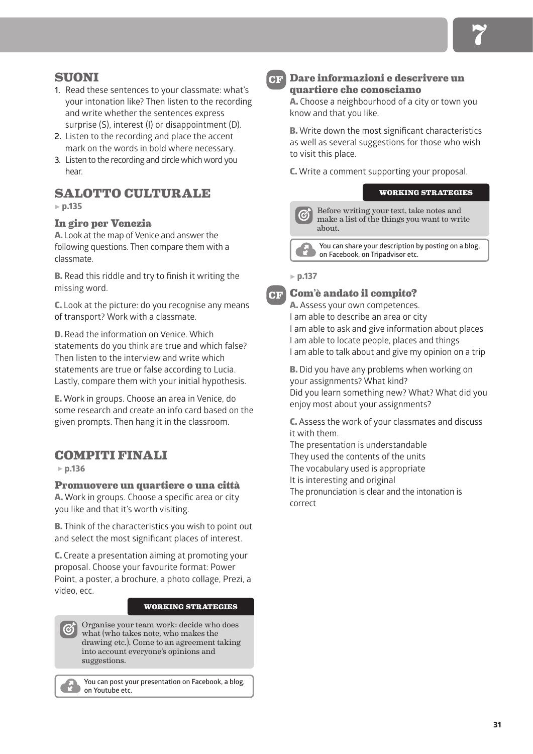# **SUONI**

- **1.** Read these sentences to your classmate: what's your intonation like? Then listen to the recording and write whether the sentences express surprise (S), interest (I) or disappointment (D).
- **2.** Listen to the recording and place the accent mark on the words in bold where necessary.
- **3.** Listen to the recording and circle which word you hear.

# **SALOTTO CULTURALE**

5 **p.135**

## **In giro per Venezia**

A. Look at the map of Venice and answer the following questions. Then compare them with a classmate.

B. Read this riddle and try to finish it writing the missing word.

C. Look at the picture: do you recognise any means of transport? Work with a classmate.

D. Read the information on Venice. Which statements do you think are true and which false? Then listen to the interview and write which statements are true or false according to Lucia. Lastly, compare them with your initial hypothesis.

E. Work in groups. Choose an area in Venice, do some research and create an info card based on the given prompts. Then hang it in the classroom.

# **COMPITI FINALI**

5 **p.136**

**Promuovere un quartiere o una città**

A. Work in groups. Choose a specific area or city you like and that it's worth visiting.

B. Think of the characteristics you wish to point out and select the most significant places of interest.

C. Create a presentation aiming at promoting your proposal. Choose your favourite format: Power Point, a poster, a brochure, a photo collage, Prezi, a video, ecc.

#### **WORKING STRATEGIES**

Organise your team work: decide who does what (who takes note, who makes the drawing etc.). Come to an agreement taking into account everyone's opinions and suggestions.

**You can post your presentation on Facebook, a blog, on Youtube etc.**

**CF**

## **Dare informazioni e descrivere un quartiere che conosciamo**

A. Choose a neighbourhood of a city or town you know and that you like.

**B.** Write down the most significant characteristics as well as several suggestions for those who wish to visit this place.

C. Write a comment supporting your proposal.

## **WORKING STRATEGIES**

Before writing your text, take notes and make a list of the things you want to write about.

**You can share your description by posting on a blog, on Facebook, on Tripadvisor etc.** 

#### 5 **p.137**

**CF**

**Com'è andato il compito?**

A. Assess your own competences. I am able to describe an area or city I am able to ask and give information about places I am able to locate people, places and things I am able to talk about and give my opinion on a trip

**B.** Did you have any problems when working on your assignments? What kind? Did you learn something new? What? What did you enjoy most about your assignments?

C. Assess the work of your classmates and discuss it with them.

The presentation is understandable They used the contents of the units The vocabulary used is appropriate It is interesting and original The pronunciation is clear and the intonation is correct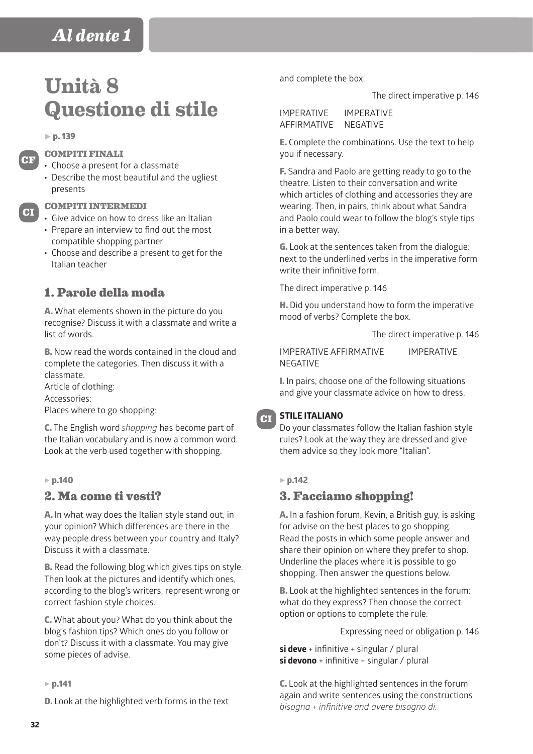# **Unità 8 Questione di stile**

 $\triangleright$  p. 139

**CF**

**CI**

#### **COMPITI FINALI**

- Choose a present for a classmate
- Describe the most beautiful and the ugliest presents

#### **COMPITI INTERMEDI**

- Give advice on how to dress like an Italian • Prepare an interview to find out the most
- compatible shopping partner • Choose and describe a present to get for the Italian teacher

# **1. Parole della moda**

A. What elements shown in the picture do you recognise? Discuss it with a classmate and write a list of words.

B. Now read the words contained in the cloud and complete the categories. Then discuss it with a classmate.

Article of clothing:

Accessories:

Places where to go shopping:

C. The English word *shopping* has become part of the Italian vocabulary and is now a common word. Look at the verb used together with shopping.

5 **p.140**

## **2. Ma come ti vesti?**

A. In what way does the Italian style stand out, in your opinion? Which differences are there in the way people dress between your country and Italy? Discuss it with a classmate.

B. Read the following blog which gives tips on style. Then look at the pictures and identify which ones, according to the blog's writers, represent wrong or correct fashion style choices.

C. What about you? What do you think about the blog's fashion tips? Which ones do you follow or don't? Discuss it with a classmate. You may give some pieces of advise.

#### 5 **p.141**

D. Look at the highlighted verb forms in the text

and complete the box.

The direct imperative p. 146

IMPERATIVE IMPERATIVE AFFIRMATIVE NEGATIVE

E. Complete the combinations. Use the text to help you if necessary.

F. Sandra and Paolo are getting ready to go to the theatre. Listen to their conversation and write which articles of clothing and accessories they are wearing. Then, in pairs, think about what Sandra and Paolo could wear to follow the blog's style tips in a better way.

G. Look at the sentences taken from the dialogue: next to the underlined verbs in the imperative form write their infinitive form.

The direct imperative p. 146

H. Did you understand how to form the imperative mood of verbs? Complete the box.

The direct imperative p. 146

IMPERATIVE AFFIRMATIVE IMPERATIVE NEGATIVE

I. In pairs, choose one of the following situations and give your classmate advice on how to dress.

#### **STILE ITALIANO**

Do your classmates follow the Italian fashion style rules? Look at the way they are dressed and give them advice so they look more "Italian".

#### 5 **p.142**

**CI**

## **3. Facciamo shopping!**

A. In a fashion forum, Kevin, a British guy, is asking for advise on the best places to go shopping. Read the posts in which some people answer and share their opinion on where they prefer to shop. Underline the places where it is possible to go shopping. Then answer the questions below.

B. Look at the highlighted sentences in the forum: what do they express? Then choose the correct option or options to complete the rule.

Expressing need or obligation p. 146

**si deve** + infinitive + singular / plural **si devono** + infinitive + singular / plural

C. Look at the highlighted sentences in the forum again and write sentences using the constructions *bisogna + infinitive and avere bisogno di.*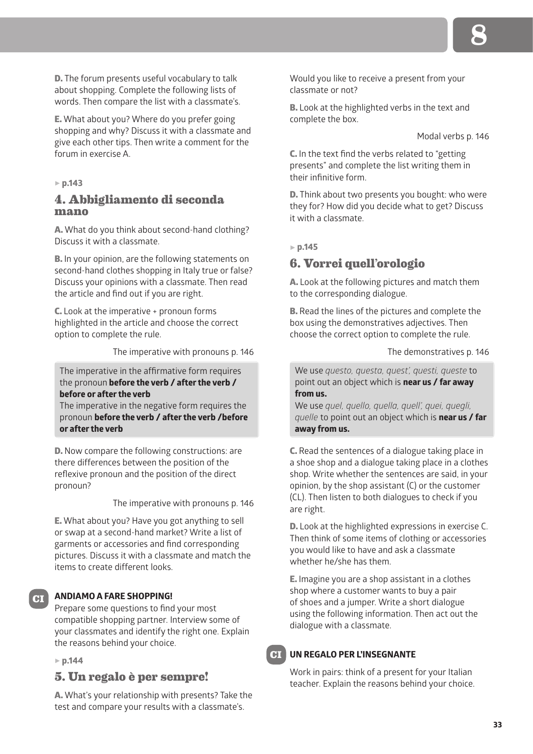D. The forum presents useful vocabulary to talk about shopping. Complete the following lists of words. Then compare the list with a classmate's.

E. What about you? Where do you prefer going shopping and why? Discuss it with a classmate and give each other tips. Then write a comment for the forum in exercise A.

#### 5 **p.143**

## **4. Abbigliamento di seconda mano**

A. What do you think about second-hand clothing? Discuss it with a classmate.

**B.** In your opinion, are the following statements on second-hand clothes shopping in Italy true or false? Discuss your opinions with a classmate. Then read the article and find out if you are right.

C. Look at the imperative + pronoun forms highlighted in the article and choose the correct option to complete the rule.

The imperative with pronouns p. 146

The imperative in the affirmative form requires the pronoun **before the verb / after the verb / before or after the verb**

The imperative in the negative form requires the pronoun **before the verb / after the verb /before or after the verb**

D. Now compare the following constructions: are there differences between the position of the reflexive pronoun and the position of the direct pronoun?

The imperative with pronouns p. 146

E. What about you? Have you got anything to sell or swap at a second-hand market? Write a list of garments or accessories and find corresponding pictures. Discuss it with a classmate and match the items to create different looks.

#### **ANDIAMO A FARE SHOPPING!**

Prepare some questions to find your most compatible shopping partner. Interview some of your classmates and identify the right one. Explain the reasons behind your choice.

5 **p.144**

**CI**

#### **5. Un regalo è per sempre!**

A. What's your relationship with presents? Take the test and compare your results with a classmate's.

Would you like to receive a present from your classmate or not?

B. Look at the highlighted verbs in the text and complete the box.

Modal verbs p. 146

C. In the text find the verbs related to "getting presents" and complete the list writing them in their infinitive form.

D. Think about two presents you bought: who were they for? How did you decide what to get? Discuss it with a classmate.

5 **p.145**

## **6. Vorrei quell'orologio**

A. Look at the following pictures and match them to the corresponding dialogue.

B. Read the lines of the pictures and complete the box using the demonstratives adjectives. Then choose the correct option to complete the rule.

The demonstratives p. 146

We use *questo, questa, quest', questi, queste* to point out an object which is **near us / far away from us.**

We use *quel, quello, quella, quell', quei, quegli, quelle* to point out an object which is **near us / far away from us.**

C. Read the sentences of a dialogue taking place in a shoe shop and a dialogue taking place in a clothes shop. Write whether the sentences are said, in your opinion, by the shop assistant (C) or the customer (CL). Then listen to both dialogues to check if you are right.

D. Look at the highlighted expressions in exercise C. Then think of some items of clothing or accessories you would like to have and ask a classmate whether he/she has them.

E. Imagine you are a shop assistant in a clothes shop where a customer wants to buy a pair of shoes and a jumper. Write a short dialogue using the following information. Then act out the dialogue with a classmate.

#### **UN REGALO PER L'INSEGNANTE CI**

Work in pairs: think of a present for your Italian teacher. Explain the reasons behind your choice.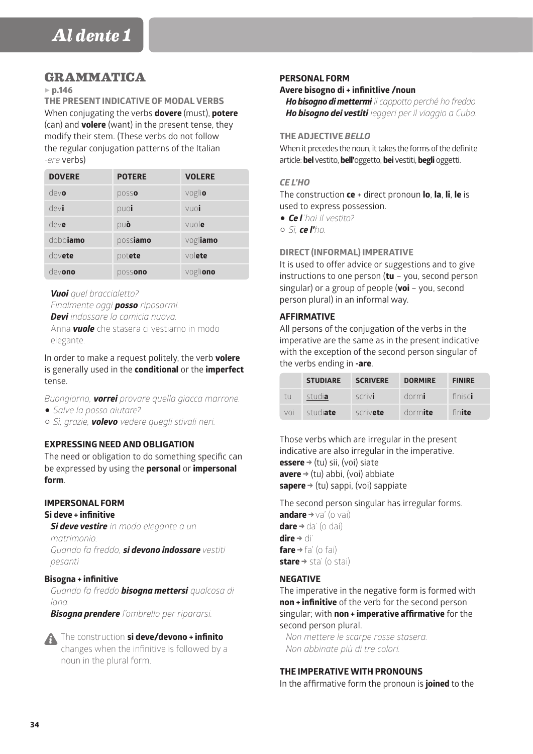# **GRAMMATICA**

#### 5 **p.146**

**THE PRESENT INDICATIVE OF MODAL VERBS** When conjugating the verbs **dovere** (must), **potere** (can) and **volere** (want) in the present tense, they modify their stem. (These verbs do not follow the regular conjugation patterns of the Italian *-ere* verbs)

| <b>DOVERE</b> | <b>POTERE</b> | <b>VOLERE</b> |
|---------------|---------------|---------------|
| devo          | posso         | voglio        |
| devi          | puoi          | vuoi          |
| deve          | può           | vuole         |
| dobbiamo      | possiamo      | vogliamo      |
| dovete        | potete        | $\vee$ olete  |
| devono        | possono       | vogliono      |

*Vuoi quel braccialetto? Finalmente oggi posso riposarmi.*

*Devi indossare la camicia nuova.*

Anna *vuole* che stasera ci vestiamo in modo elegante.

In order to make a request politely, the verb **volere** is generally used in the **conditional** or the **imperfect** tense.

*Buongiorno, vorrei provare quella giacca marrone.* 1 *Salve la posso aiutare?*  C *Sì, grazie, volevo vedere quegli stivali neri.*

## **EXPRESSING NEED AND OBLIGATION**

The need or obligation to do something specific can be expressed by using the **personal** or **impersonal form**.

### **IMPERSONAL FORM**

#### **Si deve + infinitive**

*Si deve vestire in modo elegante a un matrimonio. Quando fa freddo, si devono indossare vestiti pesanti*

#### **Bisogna + infinitive**

*Quando fa freddo bisogna mettersi qualcosa di lana.*

*Bisogna prendere l'ombrello per ripararsi.*

The construction **si deve/devono + infinito** changes when the infinitive is followed by a

noun in the plural form.

#### **PERSONAL FORM**

#### **Avere bisogno di + infinitIive /noun**

*Ho bisogno di mettermi il cappotto perché ho freddo. Ho bisogno dei vestiti leggeri per il viaggio a Cuba.*

#### **THE ADJECTIVE** *BELLO*

When it precedes the noun, it takes the forms of the definite article: **bel** vestito, **bell'**oggetto, **bei** vestiti, **begli** oggetti.

#### *CE L'HO*

The construction **ce** + direct pronoun **lo**, **la**, **li**, **le** is used to express possession. 1 *Ce l'hai il vestito?* 

 $\circ$  *Sì ce l'ho*.

#### **DIRECT (INFORMAL) IMPERATIVE**

It is used to offer advice or suggestions and to give instructions to one person (**tu** – you, second person singular) or a group of people (**voi** – you, second person plural) in an informal way.

#### **AFFIRMATIVE**

All persons of the conjugation of the verbs in the imperative are the same as in the present indicative with the exception of the second person singular of the verbs ending in **-are**.

|     | <b>STUDIARE</b> | <b>SCRIVERE</b> | <b>DORMIRE</b> | <b>FINIRE</b> |
|-----|-----------------|-----------------|----------------|---------------|
| tu. | studia          | scrivi          | dormi          | finisci       |
| VOL | studiate        | scrivete        | dormite        | finite        |

Those verbs which are irregular in the present indicative are also irregular in the imperative. **essere** → (tu) sii, (voi) siate **avere** → (tu) abbi, (voi) abbiate **sapere** → (tu) sappi, (voi) sappiate

The second person singular has irregular forms. **andare** →va' (o vai) **dare** → da' (o dai) **dire** → di'

**fare** → fa' (o fai) **stare** → sta' (o stai)

#### **NEGATIVE**

The imperative in the negative form is formed with **non + infinitive** of the verb for the second person singular; with **non + imperative affirmative** for the second person plural.

*Non mettere le scarpe rosse stasera. Non abbinate più di tre colori.* 

#### **THE IMPERATIVE WITH PRONOUNS**

In the affirmative form the pronoun is **joined** to the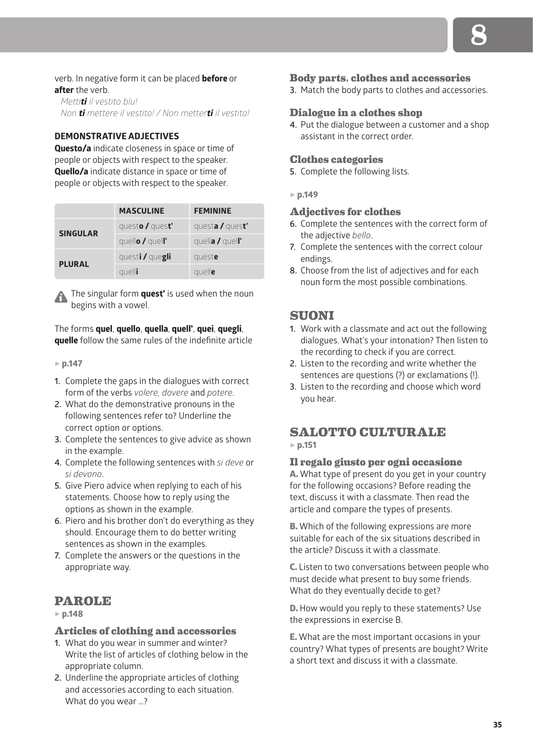### verb. In negative form it can be placed **before** or **after** the verb.

*Mettiti il vestito blu! Non ti mettere il vestito! / Non metterti il vestito!*

## **DEMONSTRATIVE ADJECTIVES**

**Questo/a** indicate closeness in space or time of people or objects with respect to the speaker. **Quello/a** indicate distance in space or time of people or objects with respect to the speaker.

|                 | <b>MASCULINE</b>       | <b>FEMININE</b> |
|-----------------|------------------------|-----------------|
| <b>SINGULAR</b> | questo / quest'        | questa / quest' |
|                 | quello $\prime$ quell' | quella / quell' |
| <b>PLURAL</b>   | questi / quegli        | queste          |
|                 | quelli                 | quelle          |

The singular form **quest'** is used when the noun begins with a vowel.

## The forms **quel**, **quello**, **quella**, **quell'**, **quei**, **quegli**, **quelle** follow the same rules of the indefinite article

- 5 **p.147**
- **1.** Complete the gaps in the dialogues with correct form of the verbs *volere, dovere* and *potere*.
- **2.** What do the demonstrative pronouns in the following sentences refer to? Underline the correct option or options.
- **3.** Complete the sentences to give advice as shown in the example.
- **4.** Complete the following sentences with *si deve* or *si devono*.
- **5.** Give Piero advice when replying to each of his statements. Choose how to reply using the options as shown in the example.
- **6.** Piero and his brother don't do everything as they should. Encourage them to do better writing sentences as shown in the examples.
- **7.** Complete the answers or the questions in the appropriate way.

# **PAROLE**

## 5 **p.148**

#### **Articles of clothing and accessories**

- **1.** What do you wear in summer and winter? Write the list of articles of clothing below in the appropriate column.
- **2.** Underline the appropriate articles of clothing and accessories according to each situation. What do you wear …?

## **Body parts, clothes and accessories**

**3.** Match the body parts to clothes and accessories.

## **Dialogue in a clothes shop**

**4.** Put the dialogue between a customer and a shop assistant in the correct order.

## **Clothes categories**

- **5.** Complete the following lists.
- 5 **p.149**

#### **Adjectives for clothes**

- **6.** Complete the sentences with the correct form of the adjective *bello*.
- **7.** Complete the sentences with the correct colour endings.
- **8.** Choose from the list of adjectives and for each noun form the most possible combinations.

## **SUONI**

- **1.** Work with a classmate and act out the following dialogues. What's your intonation? Then listen to the recording to check if you are correct.
- **2.** Listen to the recording and write whether the sentences are questions (?) or exclamations (!).
- **3.** Listen to the recording and choose which word you hear.

# **SALOTTO CULTURALE**

## 5 **p.151**

#### **Il regalo giusto per ogni occasione**

A. What type of present do you get in your country for the following occasions? Before reading the text, discuss it with a classmate. Then read the article and compare the types of presents.

B. Which of the following expressions are more suitable for each of the six situations described in the article? Discuss it with a classmate.

C. Listen to two conversations between people who must decide what present to buy some friends. What do they eventually decide to get?

D. How would you reply to these statements? Use the expressions in exercise B.

E. What are the most important occasions in your country? What types of presents are bought? Write a short text and discuss it with a classmate.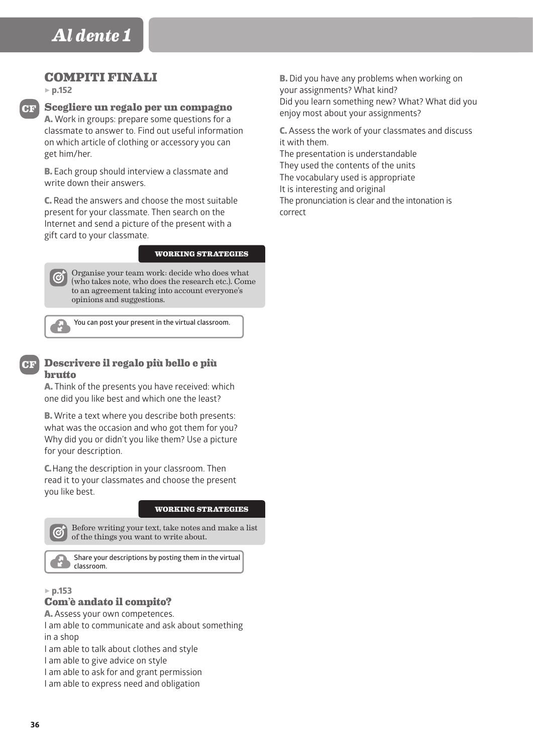## **COMPITI FINALI**

5 **p.152**

**CF**

# **Scegliere un regalo per un compagno** A. Work in groups: prepare some questions for a

classmate to answer to. Find out useful information on which article of clothing or accessory you can get him/her.

B. Each group should interview a classmate and write down their answers.

C. Read the answers and choose the most suitable present for your classmate. Then search on the Internet and send a picture of the present with a gift card to your classmate.

#### **WORKING STRATEGIES**

Organise your team work: decide who does what  $\boldsymbol{\alpha}$ (who takes note, who does the research etc.). Come to an agreement taking into account everyone's opinions and suggestions.



**You can post your present in the virtual classroom.**

# **CF**

#### **Descrivere il regalo più bello e più brutto**

A. Think of the presents you have received: which one did you like best and which one the least?

B. Write a text where you describe both presents: what was the occasion and who got them for you? Why did you or didn't you like them? Use a picture for your description.

C. Hang the description in your classroom. Then read it to your classmates and choose the present you like best.

#### **WORKING STRATEGIES**



Before writing your text, take notes and make a list of the things you want to write about.

**Share your descriptions by posting them in the virtual classroom.**

#### 5 **p.153**

## **Com'è andato il compito?**

A. Assess your own competences.

I am able to communicate and ask about something in a shop

I am able to talk about clothes and style

- I am able to give advice on style
- I am able to ask for and grant permission

I am able to express need and obligation

**B.** Did you have any problems when working on your assignments? What kind? Did you learn something new? What? What did you enjoy most about your assignments?

C. Assess the work of your classmates and discuss it with them.

The presentation is understandable They used the contents of the units The vocabulary used is appropriate It is interesting and original The pronunciation is clear and the intonation is correct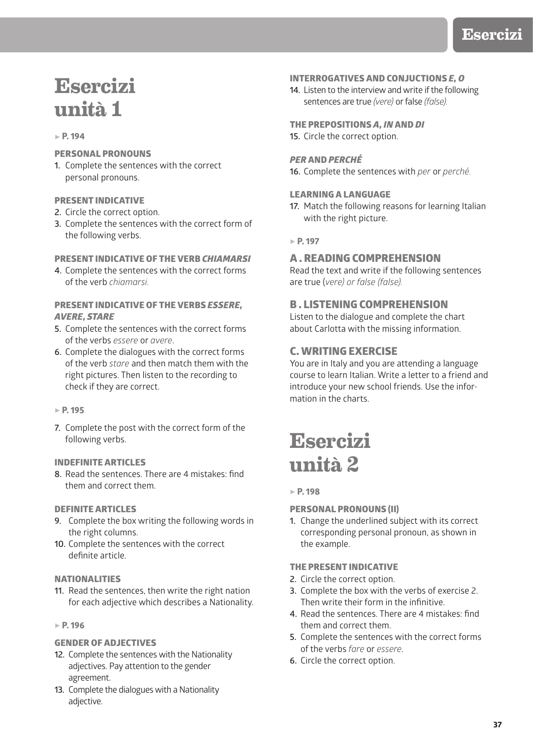# **Esercizi unità 1**

#### 5 **P. 194**

## PERSONAL PRONOUNS

**1.** Complete the sentences with the correct personal pronouns.

#### PRESENT INDICATIVE

- **2.** Circle the correct option.
- **3.** Complete the sentences with the correct form of the following verbs.

#### PRESENT INDICATIVE OF THE VERB *CHIAMARSI*

**4.** Complete the sentences with the correct forms of the verb *chiamarsi.*

### PRESENT INDICATIVE OF THE VERBS *ESSERE, AVERE, STARE*

- **5.** Complete the sentences with the correct forms of the verbs *essere* or *avere*.
- **6.** Complete the dialogues with the correct forms of the verb *stare* and then match them with the right pictures. Then listen to the recording to check if they are correct.

#### 5 **P. 195**

**7.** Complete the post with the correct form of the following verbs.

#### INDEFINITE ARTICLES

**8.** Read the sentences. There are 4 mistakes: find them and correct them.

#### DEFINITE ARTICLES

- **9.** Complete the box writing the following words in the right columns.
- **10.** Complete the sentences with the correct definite article.

#### **NATIONALITIES**

**11.** Read the sentences, then write the right nation for each adjective which describes a Nationality.

#### 5 **P. 196**

## GENDER OF ADJECTIVES

- **12.** Complete the sentences with the Nationality adjectives. Pay attention to the gender agreement.
- **13.** Complete the dialogues with a Nationality adjective.

#### INTERROGATIVES AND CONJUCTIONS *E, O*

**14.** Listen to the interview and write if the following sentences are true *(vere)* or false *(false).*

THE PREPOSITIONS *A, IN* AND *DI* **15.** Circle the correct option.

## *PER* AND *PERCHÉ*

**16.** Complete the sentences with *per* or *perché.*

#### LEARNING A LANGUAGE

**17.** Match the following reasons for learning Italian with the right picture.

#### 5 **P. 197**

## A . READING COMPREHENSION

Read the text and write if the following sentences are true (*vere) or false (false).*

## B . LISTENING COMPREHENSION

Listen to the dialogue and complete the chart about Carlotta with the missing information.

## C. WRITING EXERCISE

You are in Italy and you are attending a language course to learn Italian. Write a letter to a friend and introduce your new school friends. Use the information in the charts.

# **Esercizi unità 2**

#### 5 **P. 198**

#### PERSONAL PRONOUNS (II)

**1.** Change the underlined subject with its correct corresponding personal pronoun, as shown in the example.

#### THE PRESENT INDICATIVE

- **2.** Circle the correct option.
- **3.** Complete the box with the verbs of exercise 2. Then write their form in the infinitive.
- **4.** Read the sentences. There are 4 mistakes: find them and correct them.
- **5.** Complete the sentences with the correct forms of the verbs *fare* or *essere*.
- **6.** Circle the correct option.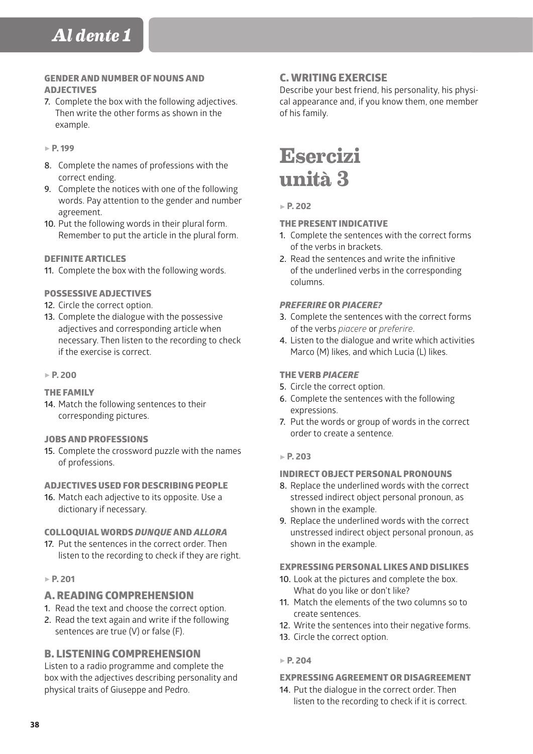## GENDER AND NUMBER OF NOUNS AND ADJECTIVES

**7.** Complete the box with the following adjectives. Then write the other forms as shown in the example.

#### 5 **P. 199**

- **8.** Complete the names of professions with the correct ending.
- **9.** Complete the notices with one of the following words. Pay attention to the gender and number agreement.
- **10.** Put the following words in their plural form. Remember to put the article in the plural form.

#### DEFINITE ARTICLES

**11.** Complete the box with the following words.

#### POSSESSIVE ADJECTIVES

- **12.** Circle the correct option.
- **13.** Complete the dialogue with the possessive adjectives and corresponding article when necessary. Then listen to the recording to check if the exercise is correct.

#### 5 **P. 200**

#### THE FAMILY

**14.** Match the following sentences to their corresponding pictures.

#### JOBS AND PROFESSIONS

**15.** Complete the crossword puzzle with the names of professions.

## ADJECTIVES USED FOR DESCRIBING PEOPLE

**16.** Match each adjective to its opposite. Use a dictionary if necessary.

#### COLLOQUIAL WORDS *DUNQUE* AND *ALLORA*

**17.** Put the sentences in the correct order. Then listen to the recording to check if they are right.

## 5 **P. 201**

## A. READING COMPREHENSION

- **1.** Read the text and choose the correct option.
- **2.** Read the text again and write if the following sentences are true (V) or false (F).

## B. LISTENING COMPREHENSION

Listen to a radio programme and complete the box with the adjectives describing personality and physical traits of Giuseppe and Pedro.

## C. WRITING EXERCISE

Describe your best friend, his personality, his physical appearance and, if you know them, one member of his family.

# **Esercizi unità 3**

#### 5 **P. 202**

#### THE PRESENT INDICATIVE

- **1.** Complete the sentences with the correct forms of the verbs in brackets.
- **2.** Read the sentences and write the infinitive of the underlined verbs in the corresponding columns.

#### *PREFERIRE* OR *PIACERE?*

- **3.** Complete the sentences with the correct forms of the verbs *piacere* or *preferire*.
- **4.** Listen to the dialogue and write which activities Marco (M) likes, and which Lucia (L) likes.

#### THE VERB *PIACERE*

- **5.** Circle the correct option.
- **6.** Complete the sentences with the following expressions.
- **7.** Put the words or group of words in the correct order to create a sentence.

#### 5 **P. 203**

#### INDIRECT OBJECT PERSONAL PRONOUNS

- **8.** Replace the underlined words with the correct stressed indirect object personal pronoun, as shown in the example.
- **9.** Replace the underlined words with the correct unstressed indirect object personal pronoun, as shown in the example.

#### EXPRESSING PERSONAL LIKES AND DISLIKES

- **10.** Look at the pictures and complete the box. What do you like or don't like?
- **11.** Match the elements of the two columns so to create sentences.
- **12.** Write the sentences into their negative forms.
- **13.** Circle the correct option.

## 5 **P. 204**

#### EXPRESSING AGREEMENT OR DISAGREEMENT

**14.** Put the dialogue in the correct order. Then listen to the recording to check if it is correct.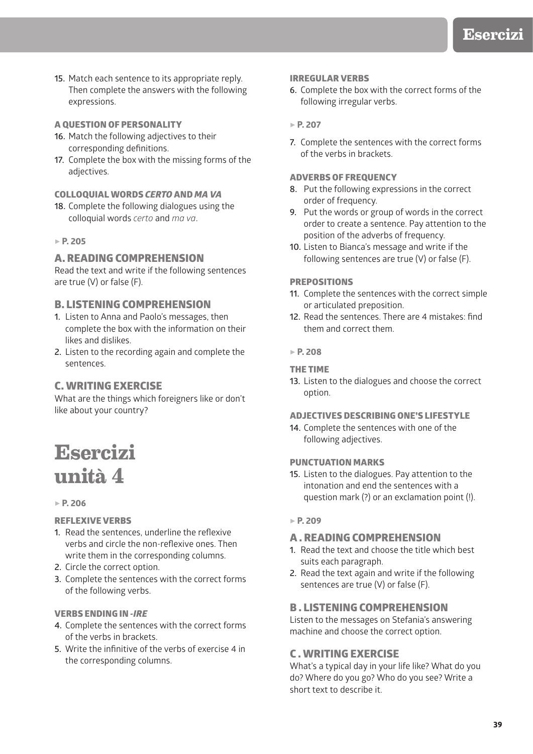- **15.** Match each sentence to its appropriate reply. Then complete the answers with the following expressions.
- A QUESTION OF PERSONALITY
- **16.** Match the following adjectives to their corresponding definitions.
- **17.** Complete the box with the missing forms of the adjectives.

#### COLLOQUIAL WORDS *CERTO* AND *MA VA*

**18.** Complete the following dialogues using the colloquial words *certo* and *ma va*.

## 5 **P. 205**

## A. READING COMPREHENSION

Read the text and write if the following sentences are true (V) or false (F).

## B. LISTENING COMPREHENSION

- **1.** Listen to Anna and Paolo's messages, then complete the box with the information on their likes and dislikes.
- **2.** Listen to the recording again and complete the sentences.

## C. WRITING EXERCISE

What are the things which foreigners like or don't like about your country?

# **Esercizi unità 4**

## 5 **P. 206**

## REFLEXIVE VERBS

- **1.** Read the sentences, underline the reflexive verbs and circle the non-reflexive ones. Then write them in the corresponding columns.
- **2.** Circle the correct option.
- **3.** Complete the sentences with the correct forms of the following verbs.

#### VERBS ENDING IN *-IRE*

- **4.** Complete the sentences with the correct forms of the verbs in brackets.
- **5.** Write the infinitive of the verbs of exercise 4 in the corresponding columns.

#### IRREGULAR VERBS

**6.** Complete the box with the correct forms of the following irregular verbs.

## 5 **P. 207**

**7.** Complete the sentences with the correct forms of the verbs in brackets.

#### ADVERBS OF FREQUENCY

- **8.** Put the following expressions in the correct order of frequency.
- **9.** Put the words or group of words in the correct order to create a sentence. Pay attention to the position of the adverbs of frequency.
- **10.** Listen to Bianca's message and write if the following sentences are true (V) or false (F).

## PREPOSITIONS

- **11.** Complete the sentences with the correct simple or articulated preposition.
- **12.** Read the sentences. There are 4 mistakes: find them and correct them.

## 5 **P. 208**

#### THE TIME

**13.** Listen to the dialogues and choose the correct option.

## ADJECTIVES DESCRIBING ONE'S LIFESTYLE

**14.** Complete the sentences with one of the following adjectives.

#### PUNCTUATION MARKS

**15.** Listen to the dialogues. Pay attention to the intonation and end the sentences with a question mark (?) or an exclamation point (!).

#### 5 **P. 209**

## A . READING COMPREHENSION

- **1.** Read the text and choose the title which best suits each paragraph.
- **2.** Read the text again and write if the following sentences are true (V) or false (F).

## B . LISTENING COMPREHENSION

Listen to the messages on Stefania's answering machine and choose the correct option.

## C . WRITING EXERCISE

What's a typical day in your life like? What do you do? Where do you go? Who do you see? Write a short text to describe it.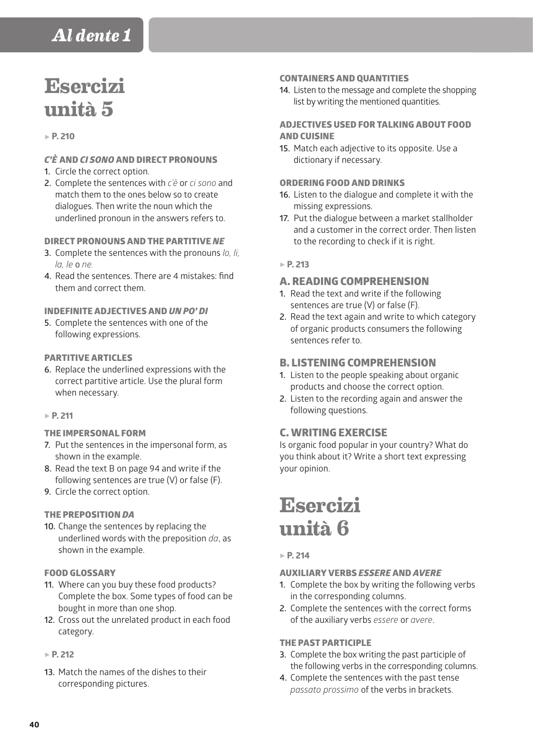# **Esercizi unità 5**

### 5 **P. 210**

## *C'È* AND *CI SONO* AND DIRECT PRONOUNS

- **1.** Circle the correct option.
- **2.** Complete the sentences with *c'è* or *ci sono* and match them to the ones below so to create dialogues. Then write the noun which the underlined pronoun in the answers refers to.

## DIRECT PRONOUNS AND THE PARTITIVE *NE*

- **3.** Complete the sentences with the pronouns *lo, li, la, le* o *ne.*
- **4.** Read the sentences. There are 4 mistakes: find them and correct them.

## INDEFINITE ADJECTIVES AND *UN PO' DI*

**5.** Complete the sentences with one of the following expressions.

## PARTITIVE ARTICLES

**6.** Replace the underlined expressions with the correct partitive article. Use the plural form when necessary.

#### 5 **P. 211**

#### THE IMPERSONAL FORM

- **7.** Put the sentences in the impersonal form, as shown in the example.
- **8.** Read the text B on page 94 and write if the following sentences are true (V) or false (F).
- **9.** Circle the correct option.

## THE PREPOSITION *DA*

**10.** Change the sentences by replacing the underlined words with the preposition *da*, as shown in the example.

## FOOD GLOSSARY

- **11.** Where can you buy these food products? Complete the box. Some types of food can be bought in more than one shop.
- **12.** Cross out the unrelated product in each food category.
- 5 **P. 212**
- **13.** Match the names of the dishes to their corresponding pictures.

#### CONTAINERS AND QUANTITIES

**14.** Listen to the message and complete the shopping list by writing the mentioned quantities.

## ADJECTIVES USED FOR TALKING ABOUT FOOD AND CUISINE

**15.** Match each adjective to its opposite. Use a dictionary if necessary.

## ORDERING FOOD AND DRINKS

- **16.** Listen to the dialogue and complete it with the missing expressions.
- **17.** Put the dialogue between a market stallholder and a customer in the correct order. Then listen to the recording to check if it is right.

## 5 **P. 213**

## A. READING COMPREHENSION

- **1.** Read the text and write if the following sentences are true (V) or false (F).
- **2.** Read the text again and write to which category of organic products consumers the following sentences refer to.

## B. LISTENING COMPREHENSION

- **1.** Listen to the people speaking about organic products and choose the correct option.
- **2.** Listen to the recording again and answer the following questions.

## C. WRITING EXERCISE

Is organic food popular in your country? What do you think about it? Write a short text expressing your opinion.

# **Esercizi unità 6**

## 5 **P. 214**

## AUXILIARY VERBS *ESSERE* AND *AVERE*

- **1.** Complete the box by writing the following verbs in the corresponding columns.
- **2.** Complete the sentences with the correct forms of the auxiliary verbs *essere* or *avere*.

## THE PAST PARTICIPLE

- **3.** Complete the box writing the past participle of the following verbs in the corresponding columns.
- **4.** Complete the sentences with the past tense *passato prossimo* of the verbs in brackets.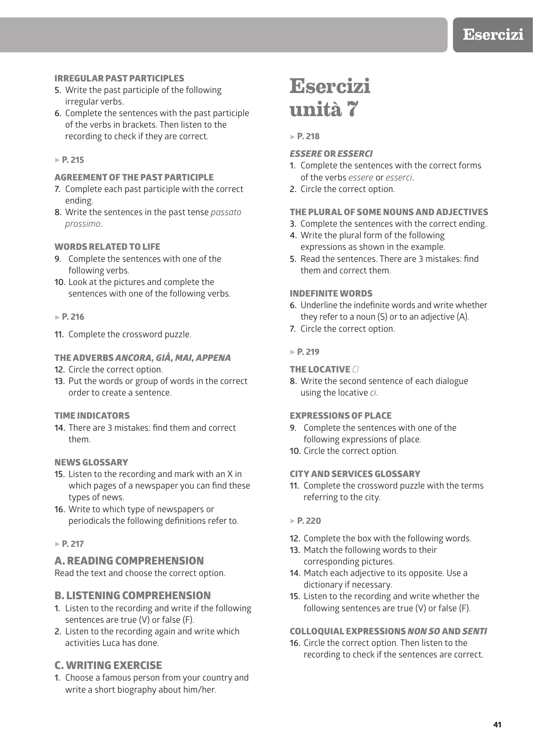## IRREGULAR PAST PARTICIPLES

- **5.** Write the past participle of the following irregular verbs.
- **6.** Complete the sentences with the past participle of the verbs in brackets. Then listen to the recording to check if they are correct.

### 5 **P. 215**

## AGREEMENT OF THE PAST PARTICIPLE

- **7.** Complete each past participle with the correct ending.
- **8.** Write the sentences in the past tense *passato prossimo*.

#### WORDS RELATED TO LIFE

- **9.** Complete the sentences with one of the following verbs.
- **10.** Look at the pictures and complete the sentences with one of the following verbs.

#### 5 **P. 216**

**11.** Complete the crossword puzzle.

## THE ADVERBS *ANCORA, GIÀ, MAI, APPENA*

- **12.** Circle the correct option.
- **13.** Put the words or group of words in the correct order to create a sentence.

#### TIME INDICATORS

**14.** There are 3 mistakes: find them and correct them.

#### NEWS GLOSSARY

- **15.** Listen to the recording and mark with an X in which pages of a newspaper you can find these types of news.
- **16.** Write to which type of newspapers or periodicals the following definitions refer to.

### 5 **P. 217**

#### A. READING COMPREHENSION

Read the text and choose the correct option.

## B. LISTENING COMPREHENSION

- **1.** Listen to the recording and write if the following sentences are true (V) or false (F).
- **2.** Listen to the recording again and write which activities Luca has done.

## C. WRITING EXERCISE

**1.** Choose a famous person from your country and write a short biography about him/her.

# **Esercizi unità 7**

#### 5 **P. 218**

#### *ESSERE* OR *ESSERCI*

- **1.** Complete the sentences with the correct forms of the verbs *essere* or *esserci*.
- **2.** Circle the correct option.

## THE PLURAL OF SOME NOUNS AND ADJECTIVES

- **3.** Complete the sentences with the correct ending.
- **4.** Write the plural form of the following expressions as shown in the example.
- **5.** Read the sentences. There are 3 mistakes: find them and correct them.

## INDEFINITE WORDS

- **6.** Underline the indefinite words and write whether they refer to a noun (S) or to an adjective (A).
- **7.** Circle the correct option.

#### 5 **P. 219**

#### THE LOCATIVE *CI*

**8.** Write the second sentence of each dialogue using the locative *ci*.

#### EXPRESSIONS OF PLACE

- **9.** Complete the sentences with one of the following expressions of place.
- **10.** Circle the correct option.

#### CITY AND SERVICES GLOSSARY

**11.** Complete the crossword puzzle with the terms referring to the city.

#### 5 **P. 220**

- **12.** Complete the box with the following words.
- **13.** Match the following words to their corresponding pictures.
- **14.** Match each adjective to its opposite. Use a dictionary if necessary.
- **15.** Listen to the recording and write whether the following sentences are true (V) or false (F).

#### COLLOQUIAL EXPRESSIONS *NON SO* AND *SENTI*

**16.** Circle the correct option. Then listen to the recording to check if the sentences are correct.